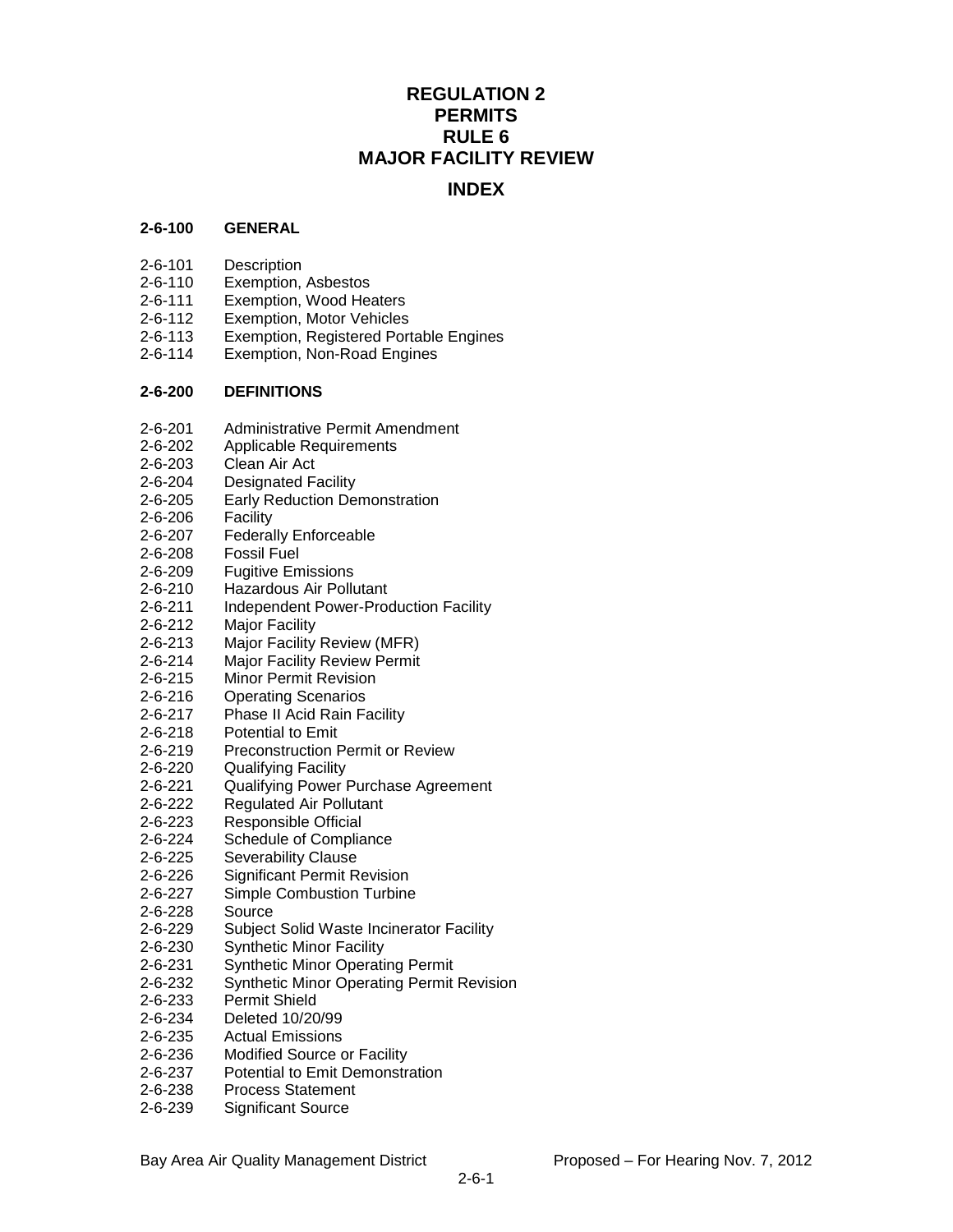# **REGULATION 2 PERMITS RULE 6 MAJOR FACILITY REVIEW**

# **INDEX**

#### **2-6-100 GENERAL**

- 2-6-101 Description
- 2-6-110 Exemption, Asbestos
- 2-6-111 Exemption, Wood Heaters
- 2-6-112 Exemption, Motor Vehicles
- 2-6-113 Exemption, Registered Portable Engines
- 2-6-114 Exemption, Non-Road Engines

#### **2-6-200 DEFINITIONS**

- 2-6-201 Administrative Permit Amendment
- 2-6-202 Applicable Requirements
- 2-6-203 Clean Air Act
- 2-6-204 Designated Facility
- 2-6-205 Early Reduction Demonstration
- 2-6-206 Facility
- 2-6-207 Federally Enforceable
- 2-6-208 Fossil Fuel
- 2-6-209 Fugitive Emissions
- 2-6-210 Hazardous Air Pollutant
- 2-6-211 Independent Power-Production Facility
- 2-6-212 Major Facility
- 2-6-213 Major Facility Review (MFR)
- 2-6-214 Major Facility Review Permit
- 2-6-215 Minor Permit Revision
- 2-6-216 Operating Scenarios
- 2-6-217 Phase II Acid Rain Facility
- 2-6-218 Potential to Emit
- 2-6-219 Preconstruction Permit or Review
- 2-6-220 Qualifying Facility
- 2-6-221 Qualifying Power Purchase Agreement
- 2-6-222 Regulated Air Pollutant
- 2-6-223 Responsible Official
- 2-6-224 Schedule of Compliance
- 2-6-225 Severability Clause
- 2-6-226 Significant Permit Revision
- 2-6-227 Simple Combustion Turbine
- 2-6-228 Source
- 2-6-229 Subject Solid Waste Incinerator Facility
- 2-6-230 Synthetic Minor Facility
- 2-6-231 Synthetic Minor Operating Permit
- 2-6-232 Synthetic Minor Operating Permit Revision
- 2-6-233 Permit Shield
- 2-6-234 Deleted 10/20/99
- 2-6-235 Actual Emissions
- 2-6-236 Modified Source or Facility
- 2-6-237 Potential to Emit Demonstration
- 2-6-238 Process Statement
- 2-6-239 Significant Source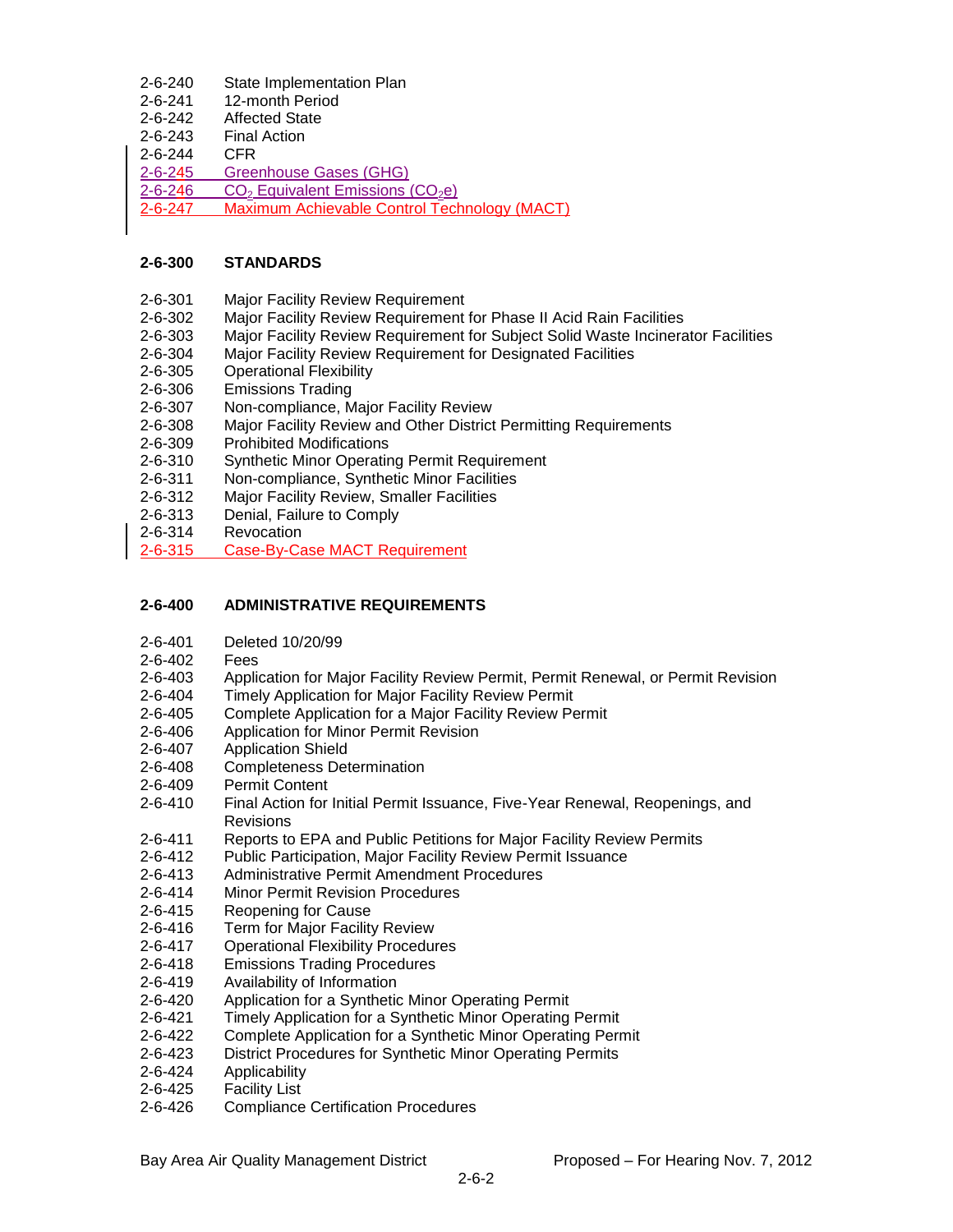| $2 - 6 - 240$ | State Implementation Plan                                |
|---------------|----------------------------------------------------------|
| $2 - 6 - 241$ | 12-month Period                                          |
| $2 - 6 - 242$ | <b>Affected State</b>                                    |
| $2 - 6 - 243$ | <b>Final Action</b>                                      |
| $2 - 6 - 244$ | CFR                                                      |
| $2 - 6 - 245$ | Greenhouse Gases (GHG)                                   |
| $2 - 6 - 246$ | CO <sub>2</sub> Equivalent Emissions (CO <sub>2</sub> e) |
| $2 - 6 - 247$ | Maximum Achievable Control Technology (MACT)             |
|               |                                                          |

### **2-6-300 STANDARDS**

- 2-6-301 Major Facility Review Requirement
- 2-6-302 Major Facility Review Requirement for Phase II Acid Rain Facilities
- 2-6-303 Major Facility Review Requirement for Subject Solid Waste Incinerator Facilities
- 2-6-304 Major Facility Review Requirement for Designated Facilities
- 2-6-305 Operational Flexibility
- 2-6-306 Emissions Trading
- 2-6-307 Non-compliance, Major Facility Review<br>2-6-308 Maior Facility Review and Other District
- Major Facility Review and Other District Permitting Requirements
- 2-6-309 Prohibited Modifications
- 2-6-310 Synthetic Minor Operating Permit Requirement
- 2-6-311 Non-compliance, Synthetic Minor Facilities
- 2-6-312 Major Facility Review, Smaller Facilities
- 2-6-313 Denial, Failure to Comply
- 2-6-314 Revocation
- 2-6-315 Case-By-Case MACT Requirement

# **2-6-400 ADMINISTRATIVE REQUIREMENTS**

- 2-6-401 Deleted 10/20/99
- 2-6-402 Fees
- 2-6-403 Application for Major Facility Review Permit, Permit Renewal, or Permit Revision
- 2-6-404 Timely Application for Major Facility Review Permit
- 2-6-405 Complete Application for a Major Facility Review Permit
- 2-6-406 Application for Minor Permit Revision
- 2-6-407 Application Shield
- 2-6-408 Completeness Determination
- 2-6-409 Permit Content
- 2-6-410 Final Action for Initial Permit Issuance, Five-Year Renewal, Reopenings, and **Revisions**
- 2-6-411 Reports to EPA and Public Petitions for Major Facility Review Permits
- 2-6-412 Public Participation, Major Facility Review Permit Issuance
- 2-6-413 Administrative Permit Amendment Procedures
- 2-6-414 Minor Permit Revision Procedures
- 2-6-415 Reopening for Cause
- 2-6-416 Term for Major Facility Review
- 2-6-417 Operational Flexibility Procedures
- 2-6-418 Emissions Trading Procedures
- 2-6-419 Availability of Information
- 2-6-420 Application for a Synthetic Minor Operating Permit
- 2-6-421 Timely Application for a Synthetic Minor Operating Permit
- 2-6-422 Complete Application for a Synthetic Minor Operating Permit
- 2-6-423 District Procedures for Synthetic Minor Operating Permits
- 2-6-424 Applicability
- 2-6-425 Facility List
- 2-6-426 Compliance Certification Procedures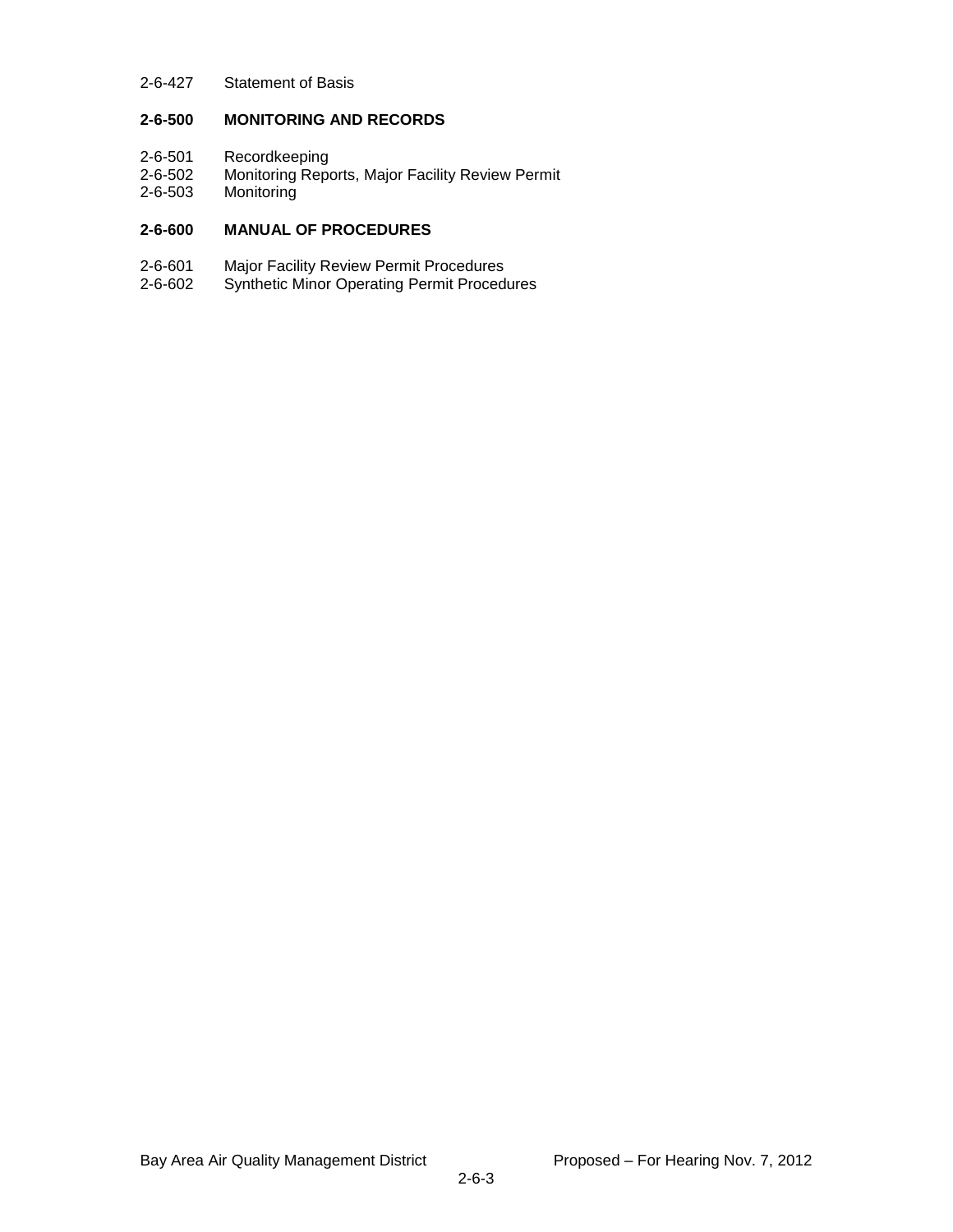### 2-6-427 Statement of Basis

# **2-6-500 MONITORING AND RECORDS**

- 2-6-501 Recordkeeping<br>2-6-502 Monitoring Repe
- Monitoring Reports, Major Facility Review Permit
- 2-6-503 Monitoring

## **2-6-600 MANUAL OF PROCEDURES**

- 2-6-601 Major Facility Review Permit Procedures
- 2-6-602 Synthetic Minor Operating Permit Procedures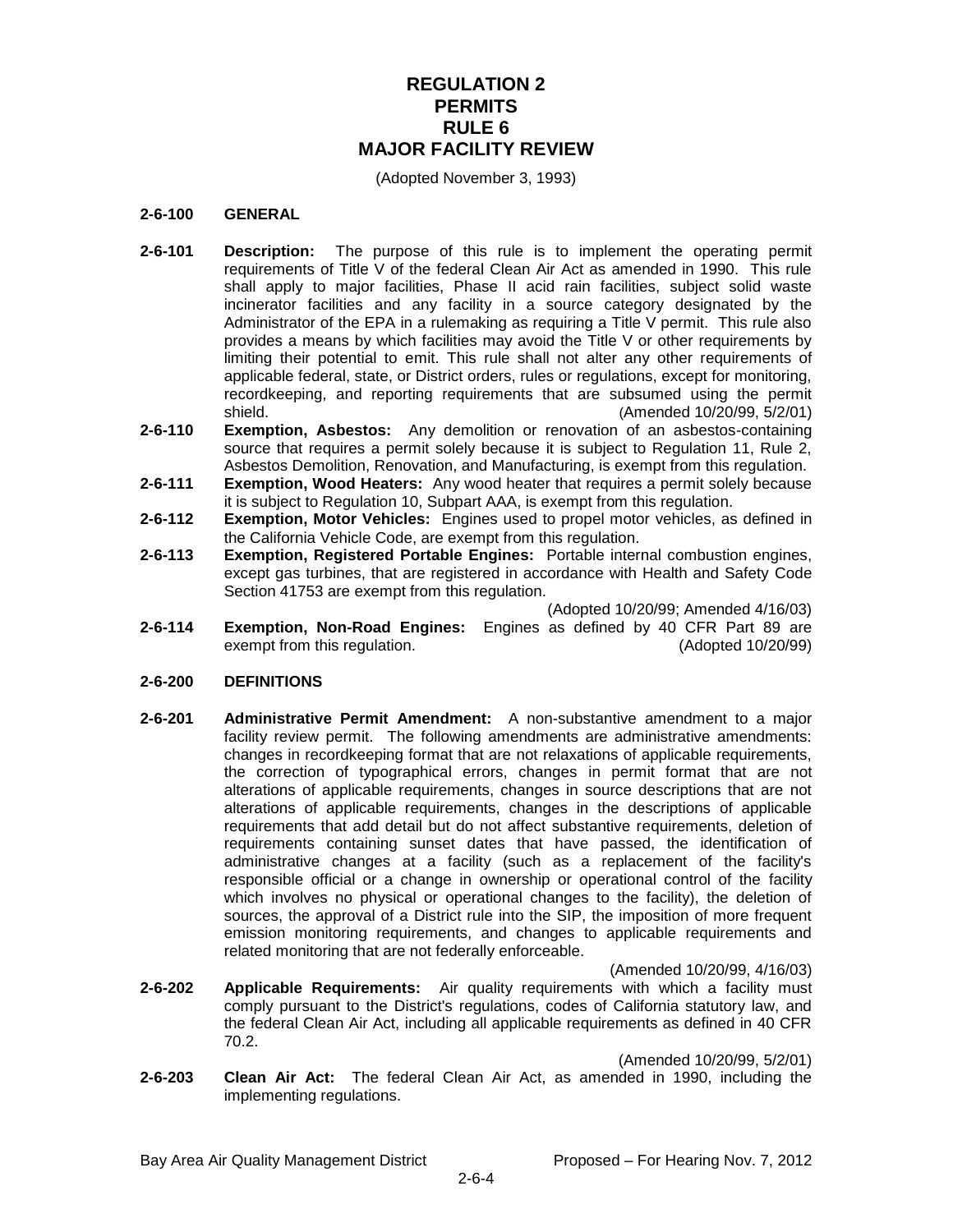# **REGULATION 2 PERMITS RULE 6 MAJOR FACILITY REVIEW**

(Adopted November 3, 1993)

#### **2-6-100 GENERAL**

- **2-6-101 Description:** The purpose of this rule is to implement the operating permit requirements of Title V of the federal Clean Air Act as amended in 1990. This rule shall apply to major facilities, Phase II acid rain facilities, subject solid waste incinerator facilities and any facility in a source category designated by the Administrator of the EPA in a rulemaking as requiring a Title V permit. This rule also provides a means by which facilities may avoid the Title V or other requirements by limiting their potential to emit. This rule shall not alter any other requirements of applicable federal, state, or District orders, rules or regulations, except for monitoring, recordkeeping, and reporting requirements that are subsumed using the permit shield. (Amended 10/20/99, 5/2/01)
- **2-6-110 Exemption, Asbestos:** Any demolition or renovation of an asbestos-containing source that requires a permit solely because it is subject to Regulation 11, Rule 2, Asbestos Demolition, Renovation, and Manufacturing, is exempt from this regulation.
- **2-6-111 Exemption, Wood Heaters:** Any wood heater that requires a permit solely because it is subject to Regulation 10, Subpart AAA, is exempt from this regulation.
- **2-6-112 Exemption, Motor Vehicles:** Engines used to propel motor vehicles, as defined in the California Vehicle Code, are exempt from this regulation.
- **2-6-113 Exemption, Registered Portable Engines:** Portable internal combustion engines, except gas turbines, that are registered in accordance with Health and Safety Code Section 41753 are exempt from this regulation.

(Adopted 10/20/99; Amended 4/16/03)

**2-6-114 Exemption, Non-Road Engines:** Engines as defined by 40 CFR Part 89 are exempt from this regulation. (Adopted 10/20/99)

### **2-6-200 DEFINITIONS**

**2-6-201 Administrative Permit Amendment:** A non-substantive amendment to a major facility review permit. The following amendments are administrative amendments: changes in recordkeeping format that are not relaxations of applicable requirements, the correction of typographical errors, changes in permit format that are not alterations of applicable requirements, changes in source descriptions that are not alterations of applicable requirements, changes in the descriptions of applicable requirements that add detail but do not affect substantive requirements, deletion of requirements containing sunset dates that have passed, the identification of administrative changes at a facility (such as a replacement of the facility's responsible official or a change in ownership or operational control of the facility which involves no physical or operational changes to the facility), the deletion of sources, the approval of a District rule into the SIP, the imposition of more frequent emission monitoring requirements, and changes to applicable requirements and related monitoring that are not federally enforceable.

(Amended 10/20/99, 4/16/03)

**2-6-202 Applicable Requirements:** Air quality requirements with which a facility must comply pursuant to the District's regulations, codes of California statutory law, and the federal Clean Air Act, including all applicable requirements as defined in 40 CFR 70.2.

(Amended 10/20/99, 5/2/01)

**2-6-203 Clean Air Act:** The federal Clean Air Act, as amended in 1990, including the implementing regulations.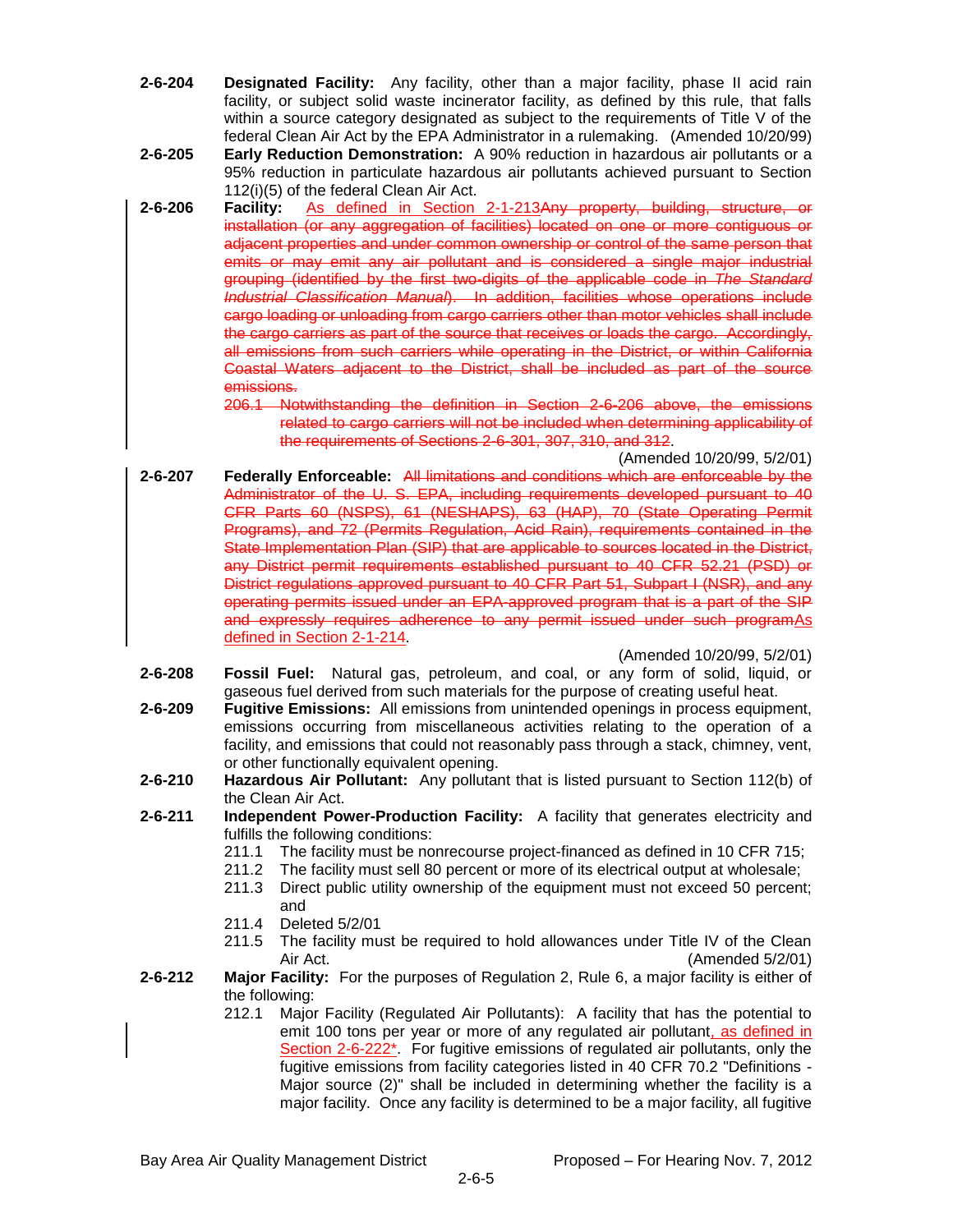- **2-6-204 Designated Facility:** Any facility, other than a major facility, phase II acid rain facility, or subject solid waste incinerator facility, as defined by this rule, that falls within a source category designated as subject to the requirements of Title V of the federal Clean Air Act by the EPA Administrator in a rulemaking. (Amended 10/20/99)
- **2-6-205 Early Reduction Demonstration:** A 90% reduction in hazardous air pollutants or a 95% reduction in particulate hazardous air pollutants achieved pursuant to Section 112(i)(5) of the federal Clean Air Act.
- **2-6-206 Facility:** As defined in Section 2-1-213Any property, building, structure, or installation (or any aggregation of facilities) located on one or more contiguous or adjacent properties and under common ownership or control of the same person that emits or may emit any air pollutant and is considered a single major industrial grouping (identified by the first two-digits of the applicable code in *The Standard Industrial Classification Manual*). In addition, facilities whose operations include cargo loading or unloading from cargo carriers other than motor vehicles shall include the cargo carriers as part of the source that receives or loads the cargo. Accordingly, all emissions from such carriers while operating in the District, or within California Coastal Waters adjacent to the District, shall be included as part of the source emissions.
	- 206.1 Notwithstanding the definition in Section 2-6-206 above, the emissions related to cargo carriers will not be included when determining applicability of the requirements of Sections 2-6-301, 307, 310, and 312.

(Amended 10/20/99, 5/2/01)

**2-6-207 Federally Enforceable:** All limitations and conditions which are enforceable by the Administrator of the U. S. EPA, including requirements developed pursuant to 40 CFR Parts 60 (NSPS), 61 (NESHAPS), 63 (HAP), 70 (State Operating Permit Programs), and 72 (Permits Regulation, Acid Rain), requirements contained in the State Implementation Plan (SIP) that are applicable to sources located in the District, any District permit requirements established pursuant to 40 CFR 52.21 (PSD) or District regulations approved pursuant to 40 CFR Part 51, Subpart I (NSR), and any operating permits issued under an EPA-approved program that is a part of the SIP and expressly requires adherence to any permit issued under such programAs defined in Section 2-1-214.

(Amended 10/20/99, 5/2/01)

- **2-6-208 Fossil Fuel:** Natural gas, petroleum, and coal, or any form of solid, liquid, or gaseous fuel derived from such materials for the purpose of creating useful heat.
- **2-6-209 Fugitive Emissions:** All emissions from unintended openings in process equipment, emissions occurring from miscellaneous activities relating to the operation of a facility, and emissions that could not reasonably pass through a stack, chimney, vent, or other functionally equivalent opening.
- **2-6-210 Hazardous Air Pollutant:** Any pollutant that is listed pursuant to Section 112(b) of the Clean Air Act.
- **2-6-211 Independent Power-Production Facility:** A facility that generates electricity and fulfills the following conditions:
	- 211.1 The facility must be nonrecourse project-financed as defined in 10 CFR 715;
	- 211.2 The facility must sell 80 percent or more of its electrical output at wholesale;
	- 211.3 Direct public utility ownership of the equipment must not exceed 50 percent; and
	- 211.4 Deleted 5/2/01
	- 211.5 The facility must be required to hold allowances under Title IV of the Clean Air Act. (Amended 5/2/01)
- **2-6-212 Major Facility:** For the purposes of Regulation 2, Rule 6, a major facility is either of the following:
	- 212.1 Major Facility (Regulated Air Pollutants): A facility that has the potential to emit 100 tons per year or more of any regulated air pollutant, as defined in Section 2-6-222\*. For fugitive emissions of regulated air pollutants, only the fugitive emissions from facility categories listed in 40 CFR 70.2 "Definitions - Major source (2)" shall be included in determining whether the facility is a major facility. Once any facility is determined to be a major facility, all fugitive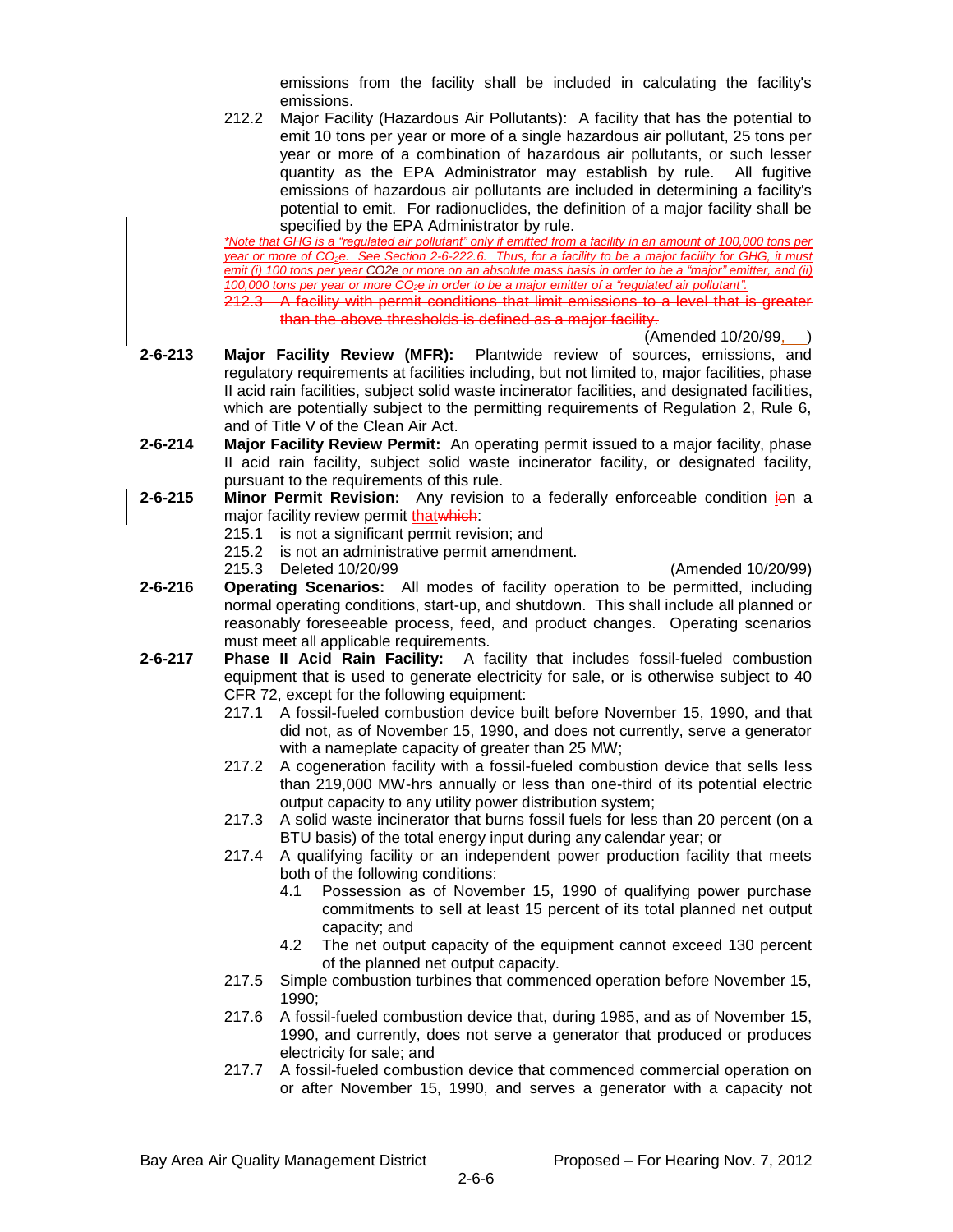emissions from the facility shall be included in calculating the facility's emissions.

212.2 Major Facility (Hazardous Air Pollutants): A facility that has the potential to emit 10 tons per year or more of a single hazardous air pollutant, 25 tons per year or more of a combination of hazardous air pollutants, or such lesser quantity as the EPA Administrator may establish by rule. All fugitive emissions of hazardous air pollutants are included in determining a facility's potential to emit. For radionuclides, the definition of a major facility shall be specified by the EPA Administrator by rule.

*\*Note that GHG is a "regulated air pollutant" only if emitted from a facility in an amount of 100,000 tons per year or more of CO2e. See Section 2-6-222.6. Thus, for a facility to be a major facility for GHG, it must emit (i) 100 tons per year CO2e or more on an absolute mass basis in order to be a "major" emitter, and (ii) 100,000 tons per year or more CO2e in order to be a major emitter of a "regulated air pollutant".* 212.3 A facility with permit conditions that limit emissions to a level that is greater than the above thresholds is defined as a major facility.

(Amended 10/20/99, )

- **2-6-213 Major Facility Review (MFR):** Plantwide review of sources, emissions, and regulatory requirements at facilities including, but not limited to, major facilities, phase II acid rain facilities, subject solid waste incinerator facilities, and designated facilities, which are potentially subject to the permitting requirements of Regulation 2, Rule 6, and of Title V of the Clean Air Act.
- **2-6-214 Major Facility Review Permit:** An operating permit issued to a major facility, phase II acid rain facility, subject solid waste incinerator facility, or designated facility, pursuant to the requirements of this rule.
- **2-6-215 Minor Permit Revision:** Any revision to a federally enforceable condition ion a major facility review permit thatwhich:
	- 215.1 is not a significant permit revision; and
	- 215.2 is not an administrative permit amendment.
	- 215.3 Deleted 10/20/99 (Amended 10/20/99)

- **2-6-216 Operating Scenarios:** All modes of facility operation to be permitted, including normal operating conditions, start-up, and shutdown. This shall include all planned or reasonably foreseeable process, feed, and product changes. Operating scenarios must meet all applicable requirements.
- **2-6-217 Phase II Acid Rain Facility:** A facility that includes fossil-fueled combustion equipment that is used to generate electricity for sale, or is otherwise subject to 40 CFR 72, except for the following equipment:
	- 217.1 A fossil-fueled combustion device built before November 15, 1990, and that did not, as of November 15, 1990, and does not currently, serve a generator with a nameplate capacity of greater than 25 MW;
	- 217.2 A cogeneration facility with a fossil-fueled combustion device that sells less than 219,000 MW-hrs annually or less than one-third of its potential electric output capacity to any utility power distribution system;
	- 217.3 A solid waste incinerator that burns fossil fuels for less than 20 percent (on a BTU basis) of the total energy input during any calendar year; or
	- 217.4 A qualifying facility or an independent power production facility that meets both of the following conditions:
		- 4.1 Possession as of November 15, 1990 of qualifying power purchase commitments to sell at least 15 percent of its total planned net output capacity; and
		- 4.2 The net output capacity of the equipment cannot exceed 130 percent of the planned net output capacity.
	- 217.5 Simple combustion turbines that commenced operation before November 15, 1990;
	- 217.6 A fossil-fueled combustion device that, during 1985, and as of November 15, 1990, and currently, does not serve a generator that produced or produces electricity for sale; and
	- 217.7 A fossil-fueled combustion device that commenced commercial operation on or after November 15, 1990, and serves a generator with a capacity not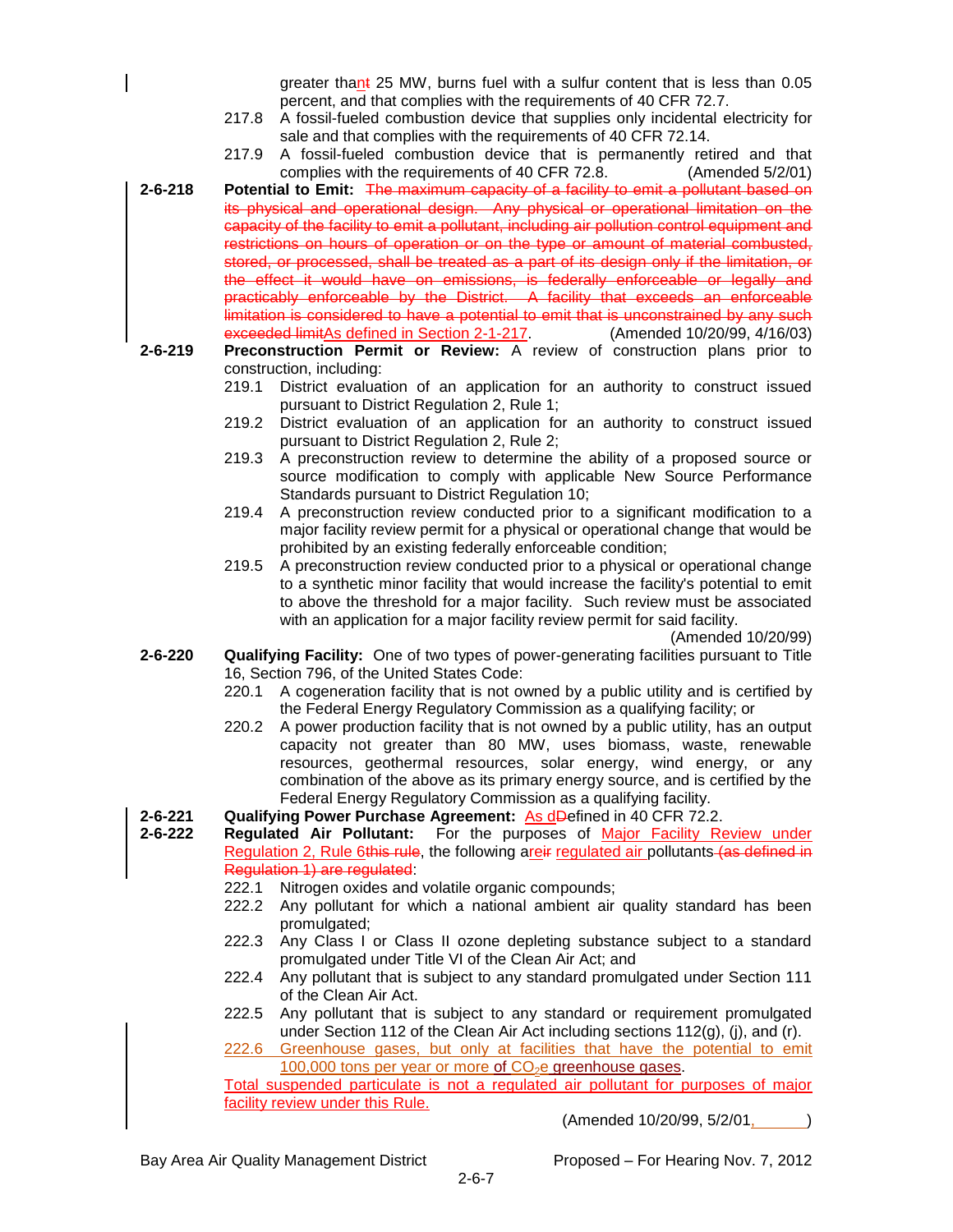greater thant 25 MW, burns fuel with a sulfur content that is less than 0.05 percent, and that complies with the requirements of 40 CFR 72.7.

- 217.8 A fossil-fueled combustion device that supplies only incidental electricity for sale and that complies with the requirements of 40 CFR 72.14.
- 217.9 A fossil-fueled combustion device that is permanently retired and that complies with the requirements of 40 CFR 72.8. (Amended 5/2/01)
- **2-6-218 Potential to Emit:** The maximum capacity of a facility to emit a pollutant based on its physical and operational design. Any physical or operational limitation on the capacity of the facility to emit a pollutant, including air pollution control equipment and restrictions on hours of operation or on the type or amount of material combusted, stored, or processed, shall be treated as a part of its design only if the limitation, or the effect it would have on emissions, is federally enforceable or legally and practicably enforceable by the District. A facility that exceeds an enforceable limitation is considered to have a potential to emit that is unconstrained by any such exceeded limitAs defined in Section 2-1-217. (Amended 10/20/99, 4/16/03)
- **2-6-219 Preconstruction Permit or Review:** A review of construction plans prior to construction, including:
	- 219.1 District evaluation of an application for an authority to construct issued pursuant to District Regulation 2, Rule 1;
	- 219.2 District evaluation of an application for an authority to construct issued pursuant to District Regulation 2, Rule 2;
	- 219.3 A preconstruction review to determine the ability of a proposed source or source modification to comply with applicable New Source Performance Standards pursuant to District Regulation 10;
	- 219.4 A preconstruction review conducted prior to a significant modification to a major facility review permit for a physical or operational change that would be prohibited by an existing federally enforceable condition;
	- 219.5 A preconstruction review conducted prior to a physical or operational change to a synthetic minor facility that would increase the facility's potential to emit to above the threshold for a major facility. Such review must be associated with an application for a major facility review permit for said facility.

(Amended 10/20/99)

- **2-6-220 Qualifying Facility:** One of two types of power-generating facilities pursuant to Title 16, Section 796, of the United States Code:
	- 220.1 A cogeneration facility that is not owned by a public utility and is certified by the Federal Energy Regulatory Commission as a qualifying facility; or
	- 220.2 A power production facility that is not owned by a public utility, has an output capacity not greater than 80 MW, uses biomass, waste, renewable resources, geothermal resources, solar energy, wind energy, or any combination of the above as its primary energy source, and is certified by the Federal Energy Regulatory Commission as a qualifying facility.
- **2-6-221 Qualifying Power Purchase Agreement:** As dDefined in 40 CFR 72.2.

**2-6-222 Regulated Air Pollutant:** For the purposes of Major Facility Review under Regulation 2, Rule 6this rule, the following are ir regulated air pollutants (as defined in Regulation 1) are regulated:

- 222.1 Nitrogen oxides and volatile organic compounds;
- 222.2 Any pollutant for which a national ambient air quality standard has been promulgated;
- 222.3 Any Class I or Class II ozone depleting substance subject to a standard promulgated under Title VI of the Clean Air Act; and
- 222.4 Any pollutant that is subject to any standard promulgated under Section 111 of the Clean Air Act.
- 222.5 Any pollutant that is subject to any standard or requirement promulgated under Section 112 of the Clean Air Act including sections 112(g), (j), and (r).

222.6 Greenhouse gases, but only at facilities that have the potential to emit 100,000 tons per year or more of  $CO<sub>2</sub>e$  greenhouse gases. Total suspended particulate is not a regulated air pollutant for purposes of major

facility review under this Rule.

(Amended 10/20/99, 5/2/01, )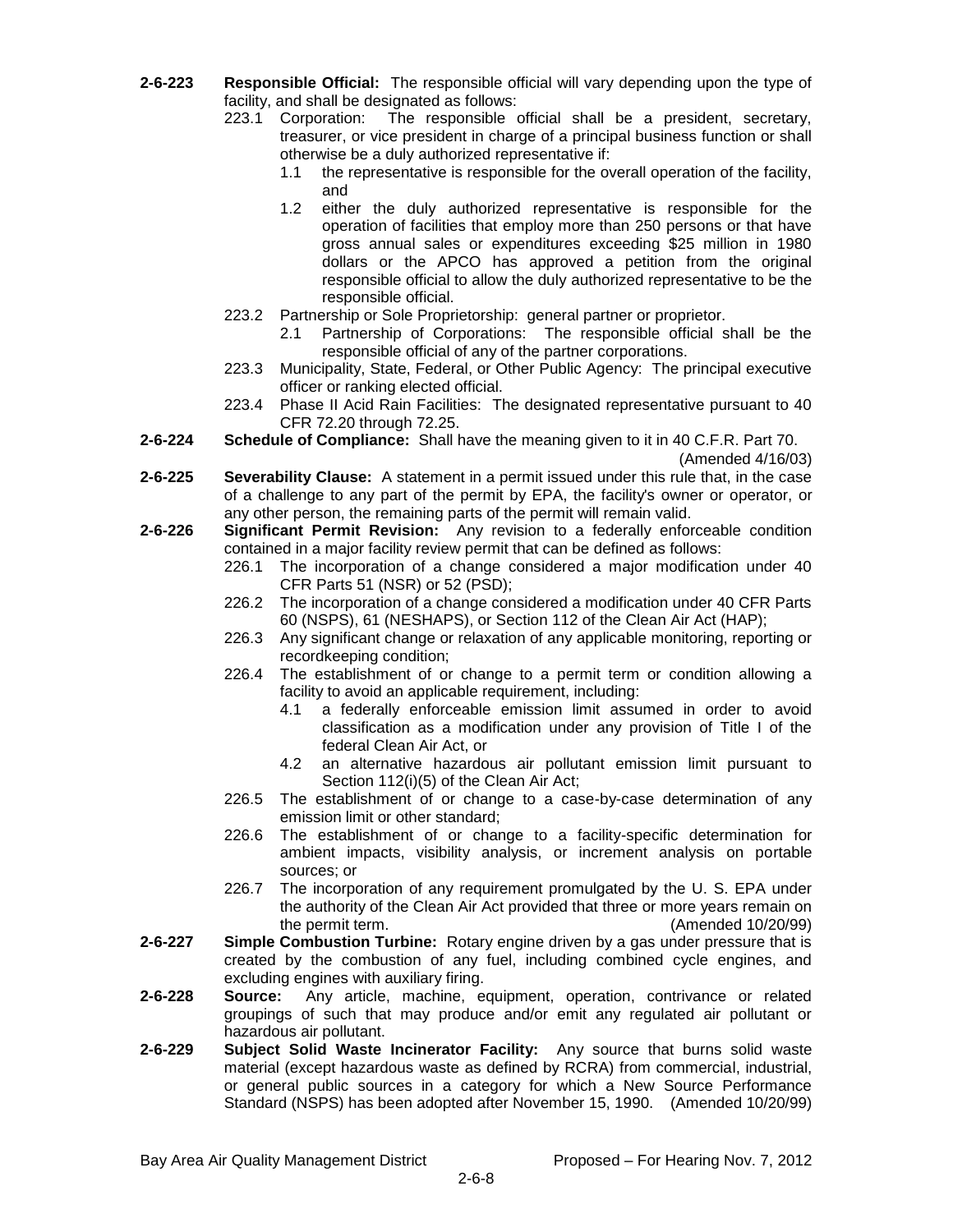- **2-6-223 Responsible Official:** The responsible official will vary depending upon the type of facility, and shall be designated as follows:
	- 223.1 Corporation: The responsible official shall be a president, secretary, treasurer, or vice president in charge of a principal business function or shall otherwise be a duly authorized representative if:
		- 1.1 the representative is responsible for the overall operation of the facility, and
		- 1.2 either the duly authorized representative is responsible for the operation of facilities that employ more than 250 persons or that have gross annual sales or expenditures exceeding \$25 million in 1980 dollars or the APCO has approved a petition from the original responsible official to allow the duly authorized representative to be the responsible official.
	- 223.2 Partnership or Sole Proprietorship: general partner or proprietor.
		- 2.1 Partnership of Corporations: The responsible official shall be the responsible official of any of the partner corporations.
	- 223.3 Municipality, State, Federal, or Other Public Agency: The principal executive officer or ranking elected official.
	- 223.4 Phase II Acid Rain Facilities: The designated representative pursuant to 40 CFR 72.20 through 72.25.
- **2-6-224 Schedule of Compliance:** Shall have the meaning given to it in 40 C.F.R. Part 70.

(Amended 4/16/03)

- **2-6-225 Severability Clause:** A statement in a permit issued under this rule that, in the case of a challenge to any part of the permit by EPA, the facility's owner or operator, or any other person, the remaining parts of the permit will remain valid.
- **2-6-226 Significant Permit Revision:** Any revision to a federally enforceable condition contained in a major facility review permit that can be defined as follows:
	- 226.1 The incorporation of a change considered a major modification under 40 CFR Parts 51 (NSR) or 52 (PSD);
	- 226.2 The incorporation of a change considered a modification under 40 CFR Parts 60 (NSPS), 61 (NESHAPS), or Section 112 of the Clean Air Act (HAP);
	- 226.3 Any significant change or relaxation of any applicable monitoring, reporting or recordkeeping condition;
	- 226.4 The establishment of or change to a permit term or condition allowing a facility to avoid an applicable requirement, including:
		- 4.1 a federally enforceable emission limit assumed in order to avoid classification as a modification under any provision of Title I of the federal Clean Air Act, or
		- 4.2 an alternative hazardous air pollutant emission limit pursuant to Section 112(i)(5) of the Clean Air Act;
	- 226.5 The establishment of or change to a case-by-case determination of any emission limit or other standard;
	- 226.6 The establishment of or change to a facility-specific determination for ambient impacts, visibility analysis, or increment analysis on portable sources; or
	- 226.7 The incorporation of any requirement promulgated by the U. S. EPA under the authority of the Clean Air Act provided that three or more years remain on the permit term. (Amended 10/20/99)
- **2-6-227 Simple Combustion Turbine:** Rotary engine driven by a gas under pressure that is created by the combustion of any fuel, including combined cycle engines, and excluding engines with auxiliary firing.
- **2-6-228 Source:** Any article, machine, equipment, operation, contrivance or related groupings of such that may produce and/or emit any regulated air pollutant or hazardous air pollutant.
- **2-6-229 Subject Solid Waste Incinerator Facility:** Any source that burns solid waste material (except hazardous waste as defined by RCRA) from commercial, industrial, or general public sources in a category for which a New Source Performance Standard (NSPS) has been adopted after November 15, 1990. (Amended 10/20/99)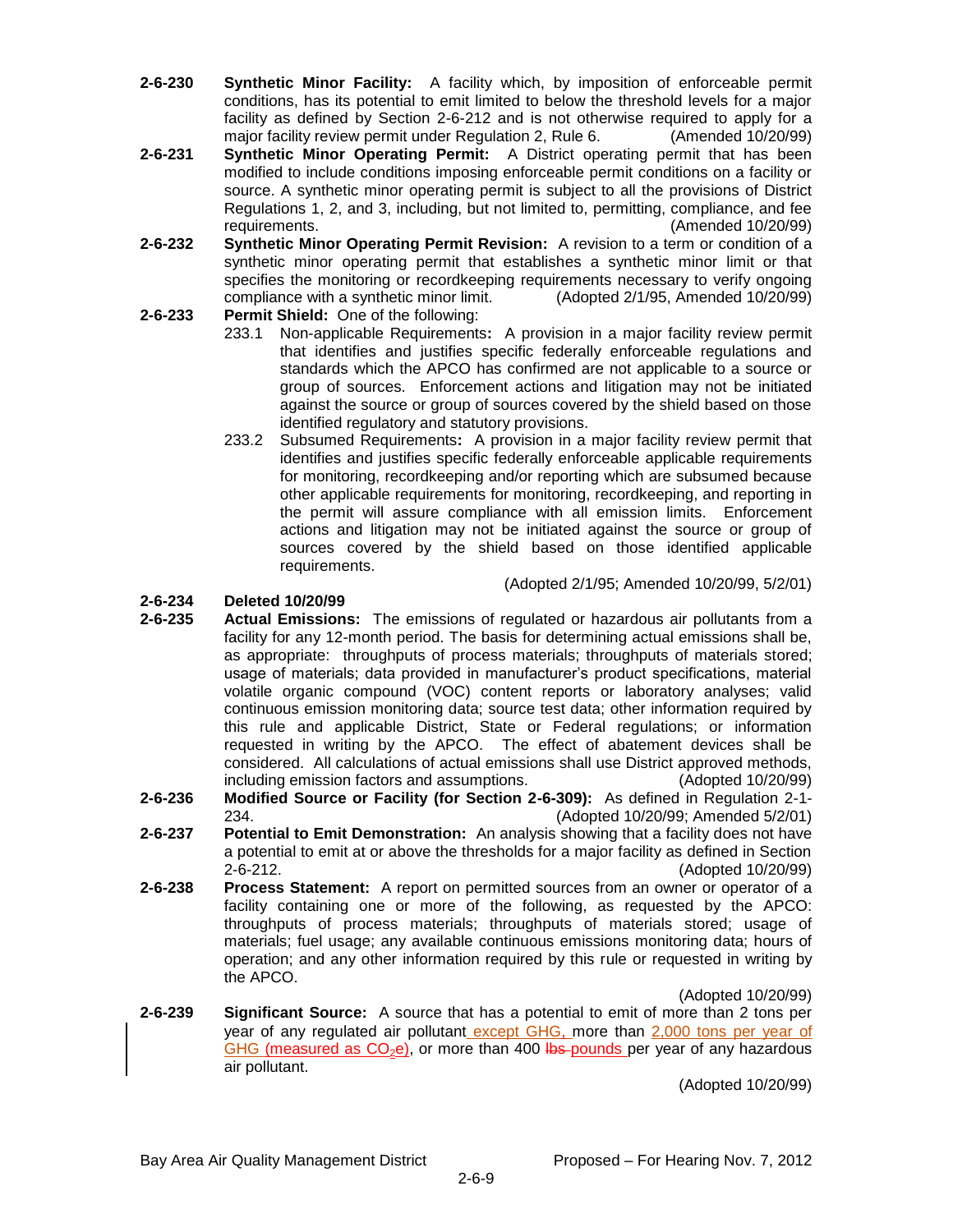- **2-6-230 Synthetic Minor Facility:** A facility which, by imposition of enforceable permit conditions, has its potential to emit limited to below the threshold levels for a major facility as defined by Section 2-6-212 and is not otherwise required to apply for a major facility review permit under Regulation 2, Rule 6. (Amended 10/20/99)
- **2-6-231 Synthetic Minor Operating Permit:** A District operating permit that has been modified to include conditions imposing enforceable permit conditions on a facility or source. A synthetic minor operating permit is subject to all the provisions of District Regulations 1, 2, and 3, including, but not limited to, permitting, compliance, and fee requirements. (Amended 10/20/99)
- **2-6-232 Synthetic Minor Operating Permit Revision:** A revision to a term or condition of a synthetic minor operating permit that establishes a synthetic minor limit or that specifies the monitoring or recordkeeping requirements necessary to verify ongoing compliance with a synthetic minor limit. (Adopted 2/1/95, Amended 10/20/99)

# **2-6-233 Permit Shield:** One of the following:

- 233.1 Non-applicable Requirements**:** A provision in a major facility review permit that identifies and justifies specific federally enforceable regulations and standards which the APCO has confirmed are not applicable to a source or group of sources. Enforcement actions and litigation may not be initiated against the source or group of sources covered by the shield based on those identified regulatory and statutory provisions.
- 233.2 Subsumed Requirements**:** A provision in a major facility review permit that identifies and justifies specific federally enforceable applicable requirements for monitoring, recordkeeping and/or reporting which are subsumed because other applicable requirements for monitoring, recordkeeping, and reporting in the permit will assure compliance with all emission limits. Enforcement actions and litigation may not be initiated against the source or group of sources covered by the shield based on those identified applicable requirements.

(Adopted 2/1/95; Amended 10/20/99, 5/2/01)

# **2-6-234 Deleted 10/20/99**

- **2-6-235 Actual Emissions:** The emissions of regulated or hazardous air pollutants from a facility for any 12-month period. The basis for determining actual emissions shall be, as appropriate: throughputs of process materials; throughputs of materials stored; usage of materials; data provided in manufacturer's product specifications, material volatile organic compound (VOC) content reports or laboratory analyses; valid continuous emission monitoring data; source test data; other information required by this rule and applicable District, State or Federal regulations; or information requested in writing by the APCO. The effect of abatement devices shall be considered. All calculations of actual emissions shall use District approved methods, including emission factors and assumptions. (Adopted 10/20/99)
- **2-6-236 Modified Source or Facility (for Section 2-6-309):** As defined in Regulation 2-1- 234. (Adopted 10/20/99; Amended 5/2/01)
- **2-6-237 Potential to Emit Demonstration:** An analysis showing that a facility does not have a potential to emit at or above the thresholds for a major facility as defined in Section 2-6-212. (Adopted 10/20/99)
- **2-6-238 Process Statement:** A report on permitted sources from an owner or operator of a facility containing one or more of the following, as requested by the APCO: throughputs of process materials; throughputs of materials stored; usage of materials; fuel usage; any available continuous emissions monitoring data; hours of operation; and any other information required by this rule or requested in writing by the APCO.

(Adopted 10/20/99)

**2-6-239 Significant Source:** A source that has a potential to emit of more than 2 tons per year of any regulated air pollutant except GHG, more than 2,000 tons per year of GHG (measured as  $CO<sub>2</sub>e$ ), or more than 400 lbs pounds per year of any hazardous air pollutant.

(Adopted 10/20/99)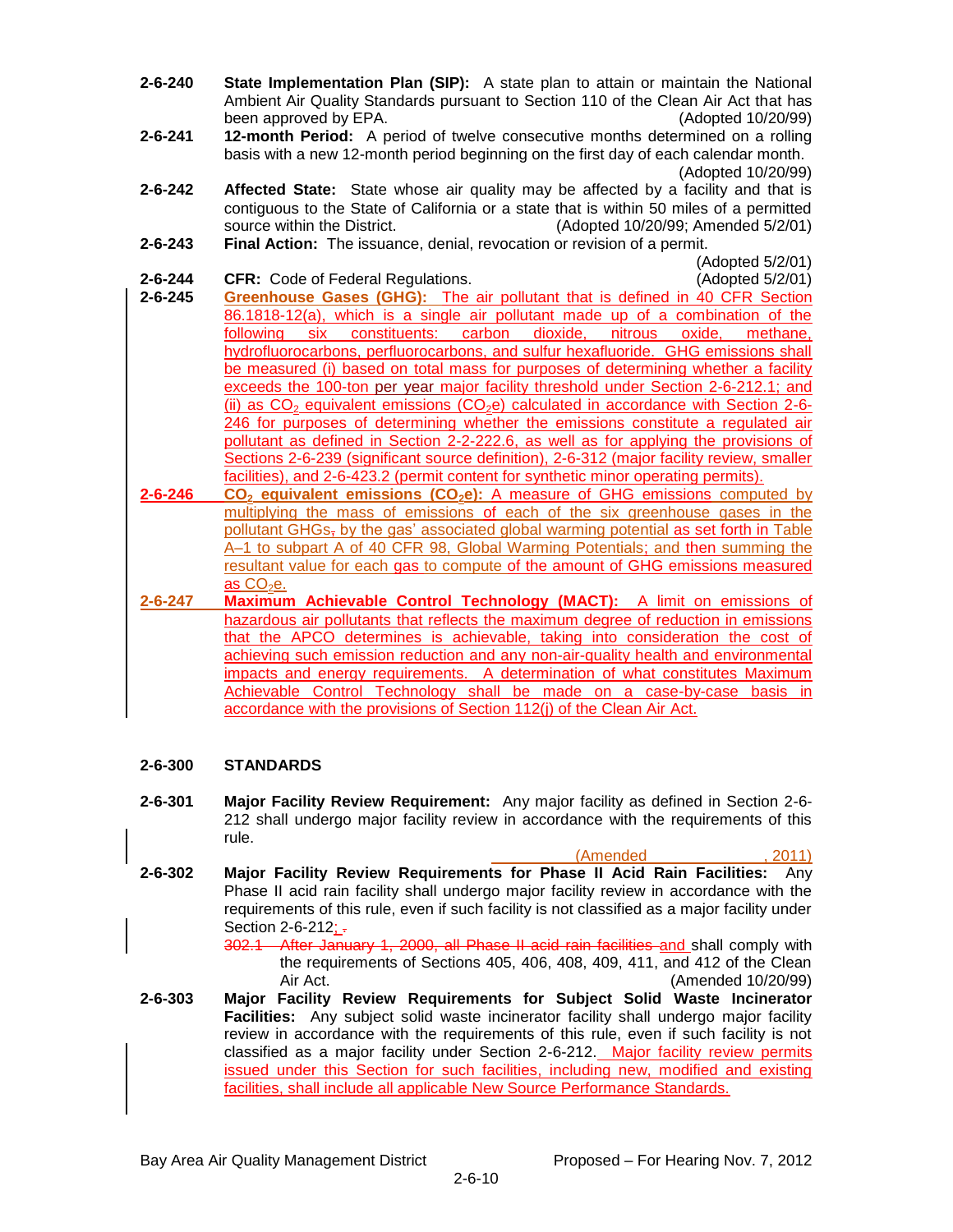- **2-6-240 State Implementation Plan (SIP):** A state plan to attain or maintain the National Ambient Air Quality Standards pursuant to Section 110 of the Clean Air Act that has been approved by EPA. (Adopted 10/20/99)
- **2-6-241 12-month Period:** A period of twelve consecutive months determined on a rolling basis with a new 12-month period beginning on the first day of each calendar month. (Adopted 10/20/99)
- **2-6-242 Affected State:** State whose air quality may be affected by a facility and that is contiguous to the State of California or a state that is within 50 miles of a permitted source within the District. (Adopted 10/20/99; Amended 5/2/01)
- **2-6-243 Final Action:** The issuance, denial, revocation or revision of a permit.
- **2-6-244 CFR:** Code of Federal Regulations. (Adopted 5/2/01)

(Adopted 5/2/01)

- **2-6-245 Greenhouse Gases (GHG):** The air pollutant that is defined in 40 CFR Section 86.1818-12(a), which is a single air pollutant made up of a combination of the following six constituents: carbon dioxide, nitrous oxide, methane, hydrofluorocarbons, perfluorocarbons, and sulfur hexafluoride. GHG emissions shall be measured (i) based on total mass for purposes of determining whether a facility exceeds the 100-ton per year major facility threshold under Section 2-6-212.1; and (ii) as  $CO<sub>2</sub>$  equivalent emissions (CO<sub>2</sub>e) calculated in accordance with Section 2-6-246 for purposes of determining whether the emissions constitute a regulated air pollutant as defined in Section 2-2-222.6, as well as for applying the provisions of Sections 2-6-239 (significant source definition), 2-6-312 (major facility review, smaller facilities), and 2-6-423.2 (permit content for synthetic minor operating permits).
- **2-6-246 CO<sup>2</sup> equivalent emissions (CO2e):** A measure of GHG emissions computed by multiplying the mass of emissions of each of the six greenhouse gases in the pollutant GHGs, by the gas' associated global warming potential as set forth in Table A–1 to subpart A of 40 CFR 98, Global Warming Potentials; and then summing the resultant value for each gas to compute of the amount of GHG emissions measured as  $CO<sub>2</sub>e$ .
- **2-6-247 Maximum Achievable Control Technology (MACT):** A limit on emissions of hazardous air pollutants that reflects the maximum degree of reduction in emissions that the APCO determines is achievable, taking into consideration the cost of achieving such emission reduction and any non-air-quality health and environmental impacts and energy requirements. A determination of what constitutes Maximum Achievable Control Technology shall be made on a case-by-case basis in accordance with the provisions of Section 112(j) of the Clean Air Act.

### **2-6-300 STANDARDS**

- **2-6-301 Major Facility Review Requirement:** Any major facility as defined in Section 2-6- 212 shall undergo major facility review in accordance with the requirements of this rule.
- (Amended \_\_\_\_\_\_\_\_\_\_\_\_\_, 2011) **2-6-302 Major Facility Review Requirements for Phase II Acid Rain Facilities:** Any Phase II acid rain facility shall undergo major facility review in accordance with the requirements of this rule, even if such facility is not classified as a major facility under Section  $2 - 6 - 212$ ;  $\frac{1}{2}$ 
	- 302.1 After January 1, 2000, all Phase II acid rain facilities and shall comply with the requirements of Sections 405, 406, 408, 409, 411, and 412 of the Clean Air Act. (Amended 10/20/99)
- **2-6-303 Major Facility Review Requirements for Subject Solid Waste Incinerator Facilities:** Any subject solid waste incinerator facility shall undergo major facility review in accordance with the requirements of this rule, even if such facility is not classified as a major facility under Section 2-6-212. Major facility review permits issued under this Section for such facilities, including new, modified and existing facilities, shall include all applicable New Source Performance Standards.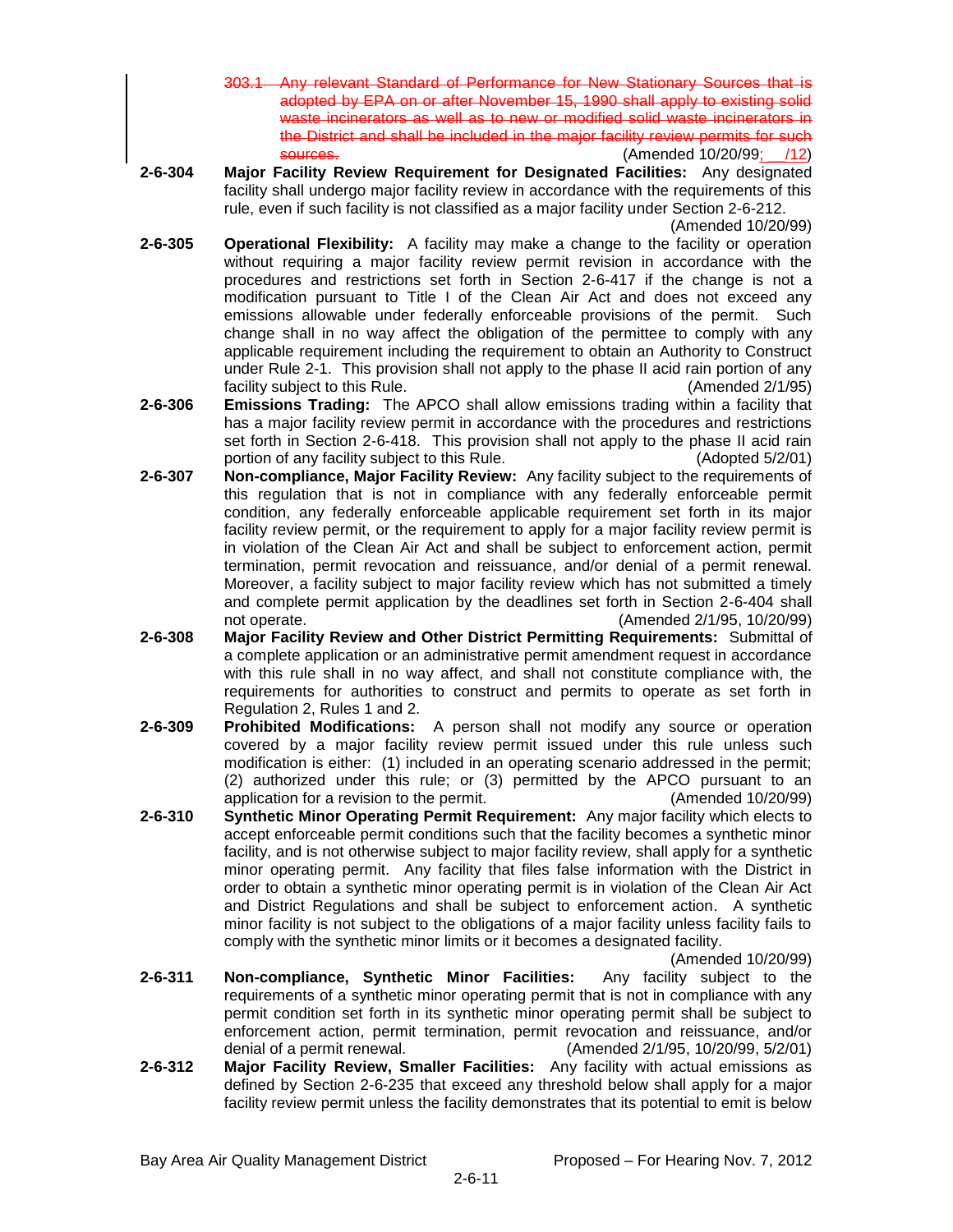- Any relevant Standard of Performance for New Stationary Sources that is adopted by EPA on or after November 15, 1990 shall apply to existing solid waste incinerators as well as to new or modified solid waste incinerators in the District and shall be included in the major facility review permits for such<br>
sources(12)<br>
(12) (Amended 10/20/99; /12)
- **2-6-304 Major Facility Review Requirement for Designated Facilities:** Any designated facility shall undergo major facility review in accordance with the requirements of this rule, even if such facility is not classified as a major facility under Section 2-6-212.

(Amended 10/20/99)

- **2-6-305 Operational Flexibility:** A facility may make a change to the facility or operation without requiring a major facility review permit revision in accordance with the procedures and restrictions set forth in Section 2-6-417 if the change is not a modification pursuant to Title I of the Clean Air Act and does not exceed any emissions allowable under federally enforceable provisions of the permit. Such change shall in no way affect the obligation of the permittee to comply with any applicable requirement including the requirement to obtain an Authority to Construct under Rule 2-1. This provision shall not apply to the phase II acid rain portion of any facility subject to this Rule. (Amended 2/1/95)
- **2-6-306 Emissions Trading:** The APCO shall allow emissions trading within a facility that has a major facility review permit in accordance with the procedures and restrictions set forth in Section 2-6-418. This provision shall not apply to the phase II acid rain portion of any facility subject to this Rule. (Adopted 5/2/01)
- **2-6-307 Non-compliance, Major Facility Review:** Any facility subject to the requirements of this regulation that is not in compliance with any federally enforceable permit condition, any federally enforceable applicable requirement set forth in its major facility review permit, or the requirement to apply for a major facility review permit is in violation of the Clean Air Act and shall be subject to enforcement action, permit termination, permit revocation and reissuance, and/or denial of a permit renewal. Moreover, a facility subject to major facility review which has not submitted a timely and complete permit application by the deadlines set forth in Section 2-6-404 shall not operate. The contract of the contract operate. (Amended 2/1/95, 10/20/99)
- **2-6-308 Major Facility Review and Other District Permitting Requirements:** Submittal of a complete application or an administrative permit amendment request in accordance with this rule shall in no way affect, and shall not constitute compliance with, the requirements for authorities to construct and permits to operate as set forth in Regulation 2, Rules 1 and 2.
- **2-6-309 Prohibited Modifications:** A person shall not modify any source or operation covered by a major facility review permit issued under this rule unless such modification is either: (1) included in an operating scenario addressed in the permit; (2) authorized under this rule; or (3) permitted by the APCO pursuant to an application for a revision to the permit. (Amended 10/20/99)
- **2-6-310 Synthetic Minor Operating Permit Requirement:** Any major facility which elects to accept enforceable permit conditions such that the facility becomes a synthetic minor facility, and is not otherwise subject to major facility review, shall apply for a synthetic minor operating permit. Any facility that files false information with the District in order to obtain a synthetic minor operating permit is in violation of the Clean Air Act and District Regulations and shall be subject to enforcement action. A synthetic minor facility is not subject to the obligations of a major facility unless facility fails to comply with the synthetic minor limits or it becomes a designated facility.

(Amended 10/20/99)

- **2-6-311 Non-compliance, Synthetic Minor Facilities:** Any facility subject to the requirements of a synthetic minor operating permit that is not in compliance with any permit condition set forth in its synthetic minor operating permit shall be subject to enforcement action, permit termination, permit revocation and reissuance, and/or denial of a permit renewal. (Amended 2/1/95, 10/20/99, 5/2/01)
- **2-6-312 Major Facility Review, Smaller Facilities:** Any facility with actual emissions as defined by Section 2-6-235 that exceed any threshold below shall apply for a major facility review permit unless the facility demonstrates that its potential to emit is below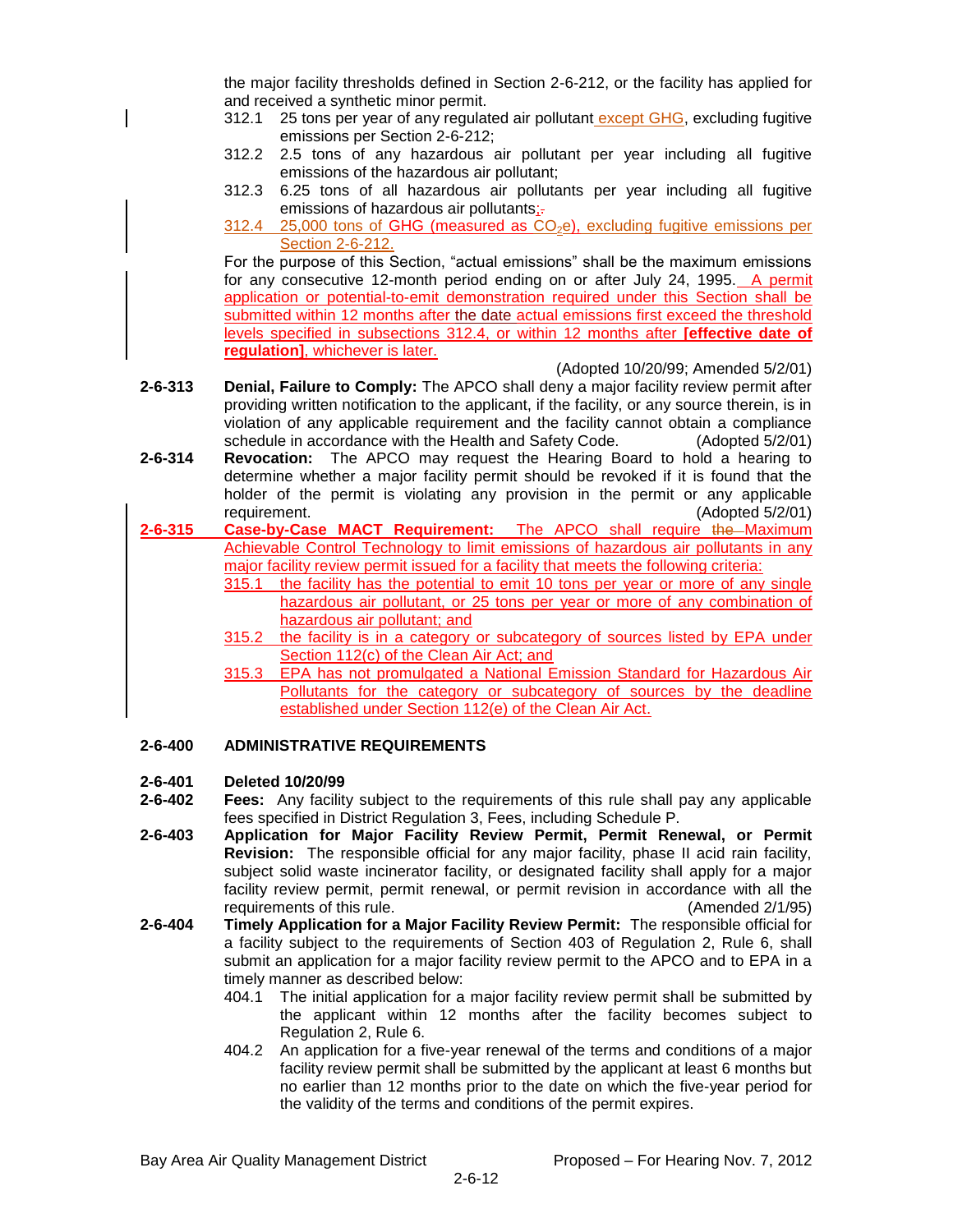the major facility thresholds defined in Section 2-6-212, or the facility has applied for and received a synthetic minor permit.

- 312.1 25 tons per year of any regulated air pollutant except GHG, excluding fugitive emissions per Section 2-6-212;
- 312.2 2.5 tons of any hazardous air pollutant per year including all fugitive emissions of the hazardous air pollutant;
- 312.3 6.25 tons of all hazardous air pollutants per year including all fugitive emissions of hazardous air pollutants;-
- $312.4$  25,000 tons of GHG (measured as  $CO<sub>2</sub>e$ ), excluding fugitive emissions per Section 2-6-212.

For the purpose of this Section, "actual emissions" shall be the maximum emissions for any consecutive 12-month period ending on or after July 24, 1995. A permit application or potential-to-emit demonstration required under this Section shall be submitted within 12 months after the date actual emissions first exceed the threshold levels specified in subsections 312.4, or within 12 months after **[effective date of regulation]**, whichever is later.

(Adopted 10/20/99; Amended 5/2/01)

- **2-6-313 Denial, Failure to Comply:** The APCO shall deny a major facility review permit after providing written notification to the applicant, if the facility, or any source therein, is in violation of any applicable requirement and the facility cannot obtain a compliance schedule in accordance with the Health and Safety Code. (Adopted 5/2/01)
- **2-6-314 Revocation:** The APCO may request the Hearing Board to hold a hearing to determine whether a major facility permit should be revoked if it is found that the holder of the permit is violating any provision in the permit or any applicable requirement. (Adopted 5/2/01)
- **2-6-315 Case-by-Case MACT Requirement:** The APCO shall require the Maximum Achievable Control Technology to limit emissions of hazardous air pollutants in any major facility review permit issued for a facility that meets the following criteria:
	- 315.1 the facility has the potential to emit 10 tons per year or more of any single hazardous air pollutant, or 25 tons per year or more of any combination of hazardous air pollutant; and
	- 315.2 the facility is in a category or subcategory of sources listed by EPA under Section 112(c) of the Clean Air Act; and
	- 315.3 EPA has not promulgated a National Emission Standard for Hazardous Air Pollutants for the category or subcategory of sources by the deadline established under Section 112(e) of the Clean Air Act.

## **2-6-400 ADMINISTRATIVE REQUIREMENTS**

### **2-6-401 Deleted 10/20/99**

- **2-6-402 Fees:** Any facility subject to the requirements of this rule shall pay any applicable fees specified in District Regulation 3, Fees, including Schedule P.
- **2-6-403 Application for Major Facility Review Permit, Permit Renewal, or Permit Revision:** The responsible official for any major facility, phase II acid rain facility, subject solid waste incinerator facility, or designated facility shall apply for a major facility review permit, permit renewal, or permit revision in accordance with all the requirements of this rule. (Amended 2/1/95)
- **2-6-404 Timely Application for a Major Facility Review Permit:** The responsible official for a facility subject to the requirements of Section 403 of Regulation 2, Rule 6, shall submit an application for a major facility review permit to the APCO and to EPA in a timely manner as described below:
	- 404.1 The initial application for a major facility review permit shall be submitted by the applicant within 12 months after the facility becomes subject to Regulation 2, Rule 6.
	- 404.2 An application for a five-year renewal of the terms and conditions of a major facility review permit shall be submitted by the applicant at least 6 months but no earlier than 12 months prior to the date on which the five-year period for the validity of the terms and conditions of the permit expires.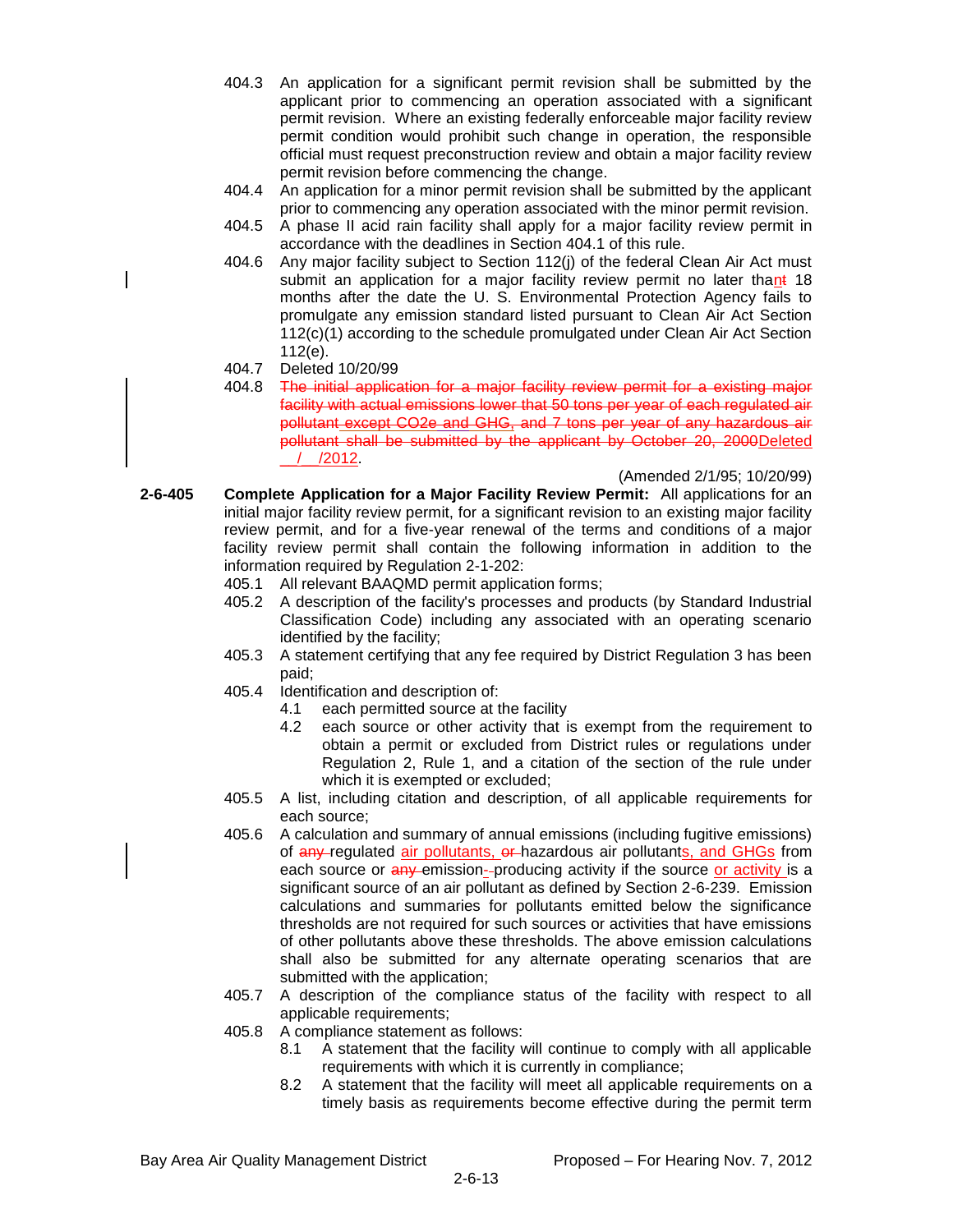- 404.3 An application for a significant permit revision shall be submitted by the applicant prior to commencing an operation associated with a significant permit revision. Where an existing federally enforceable major facility review permit condition would prohibit such change in operation, the responsible official must request preconstruction review and obtain a major facility review permit revision before commencing the change.
- 404.4 An application for a minor permit revision shall be submitted by the applicant prior to commencing any operation associated with the minor permit revision.
- 404.5 A phase II acid rain facility shall apply for a major facility review permit in accordance with the deadlines in Section 404.1 of this rule.
- 404.6 Any major facility subject to Section 112(j) of the federal Clean Air Act must submit an application for a major facility review permit no later thant 18 months after the date the U. S. Environmental Protection Agency fails to promulgate any emission standard listed pursuant to Clean Air Act Section 112(c)(1) according to the schedule promulgated under Clean Air Act Section 112(e).
- 404.7 Deleted 10/20/99
- 404.8 The initial application for a major facility review permit for a existing major facility with actual emissions lower that 50 tons per year of each regulated air pollutant except CO2e and GHG, and 7 tons per year of any hazardous air pollutant shall be submitted by the applicant by October 20, 2000Deleted  $/$   $/2012$ .

(Amended 2/1/95; 10/20/99)

- **2-6-405 Complete Application for a Major Facility Review Permit:** All applications for an initial major facility review permit, for a significant revision to an existing major facility review permit, and for a five-year renewal of the terms and conditions of a major facility review permit shall contain the following information in addition to the information required by Regulation 2-1-202:
	- 405.1 All relevant BAAQMD permit application forms;
	- 405.2 A description of the facility's processes and products (by Standard Industrial Classification Code) including any associated with an operating scenario identified by the facility;
	- 405.3 A statement certifying that any fee required by District Regulation 3 has been paid;
	- 405.4 Identification and description of:
		- 4.1 each permitted source at the facility
		- 4.2 each source or other activity that is exempt from the requirement to obtain a permit or excluded from District rules or regulations under Regulation 2, Rule 1, and a citation of the section of the rule under which it is exempted or excluded;
	- 405.5 A list, including citation and description, of all applicable requirements for each source;
	- 405.6 A calculation and summary of annual emissions (including fugitive emissions) of any regulated air pollutants, or hazardous air pollutants, and GHGs from each source or any emission--producing activity if the source or activity is a significant source of an air pollutant as defined by Section 2-6-239. Emission calculations and summaries for pollutants emitted below the significance thresholds are not required for such sources or activities that have emissions of other pollutants above these thresholds. The above emission calculations shall also be submitted for any alternate operating scenarios that are submitted with the application;
	- 405.7 A description of the compliance status of the facility with respect to all applicable requirements;
	- 405.8 A compliance statement as follows:
		- 8.1 A statement that the facility will continue to comply with all applicable requirements with which it is currently in compliance;
		- 8.2 A statement that the facility will meet all applicable requirements on a timely basis as requirements become effective during the permit term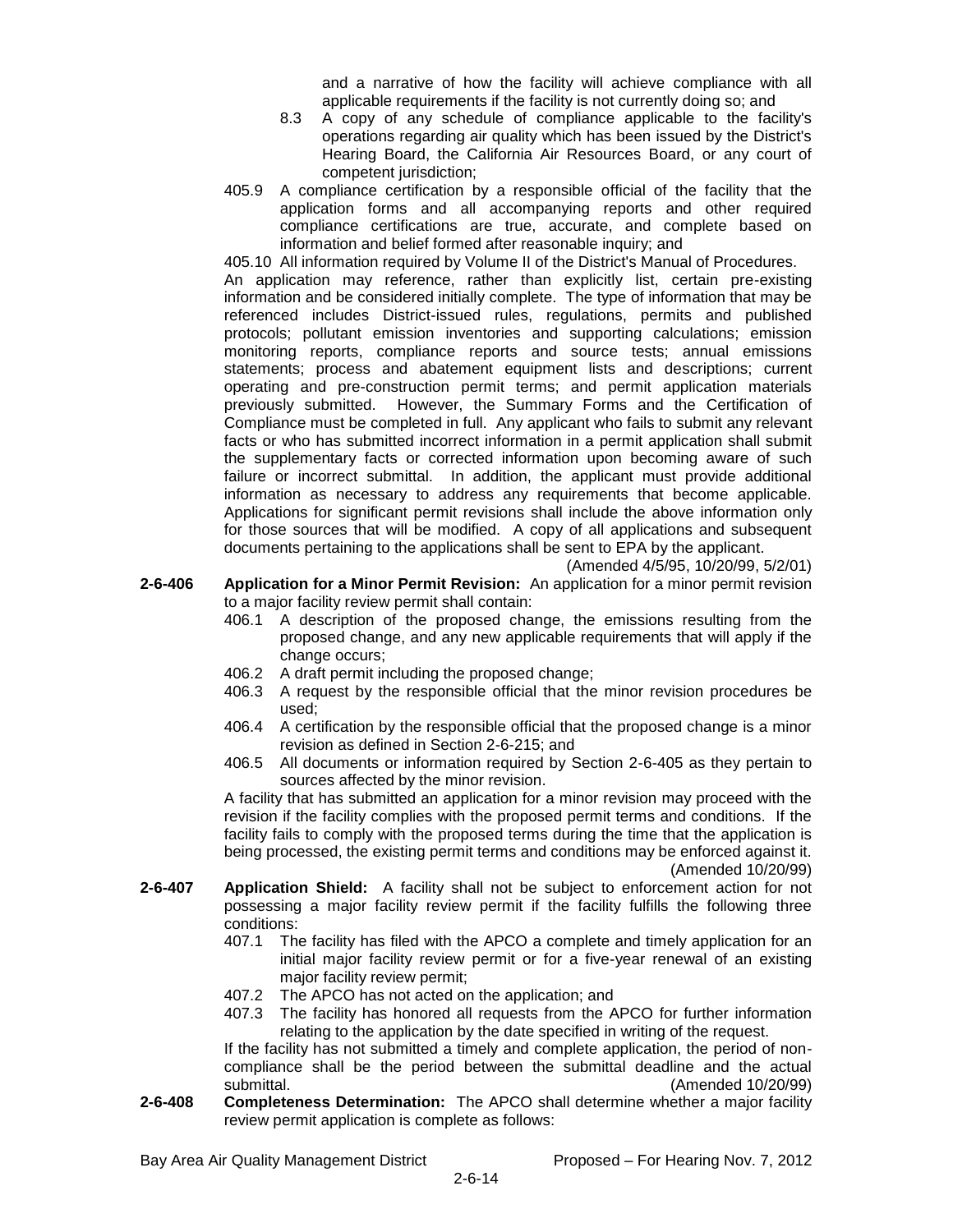and a narrative of how the facility will achieve compliance with all applicable requirements if the facility is not currently doing so; and

- 8.3 A copy of any schedule of compliance applicable to the facility's operations regarding air quality which has been issued by the District's Hearing Board, the California Air Resources Board, or any court of competent jurisdiction;
- 405.9 A compliance certification by a responsible official of the facility that the application forms and all accompanying reports and other required compliance certifications are true, accurate, and complete based on information and belief formed after reasonable inquiry; and

405.10 All information required by Volume II of the District's Manual of Procedures. An application may reference, rather than explicitly list, certain pre-existing information and be considered initially complete. The type of information that may be referenced includes District-issued rules, regulations, permits and published protocols; pollutant emission inventories and supporting calculations; emission monitoring reports, compliance reports and source tests; annual emissions statements; process and abatement equipment lists and descriptions; current operating and pre-construction permit terms; and permit application materials previously submitted. However, the Summary Forms and the Certification of Compliance must be completed in full. Any applicant who fails to submit any relevant facts or who has submitted incorrect information in a permit application shall submit the supplementary facts or corrected information upon becoming aware of such failure or incorrect submittal. In addition, the applicant must provide additional information as necessary to address any requirements that become applicable. Applications for significant permit revisions shall include the above information only for those sources that will be modified. A copy of all applications and subsequent documents pertaining to the applications shall be sent to EPA by the applicant.

(Amended 4/5/95, 10/20/99, 5/2/01)

- **2-6-406 Application for a Minor Permit Revision:** An application for a minor permit revision to a major facility review permit shall contain:
	- 406.1 A description of the proposed change, the emissions resulting from the proposed change, and any new applicable requirements that will apply if the change occurs;
	- 406.2 A draft permit including the proposed change;
	- 406.3 A request by the responsible official that the minor revision procedures be used;
	- 406.4 A certification by the responsible official that the proposed change is a minor revision as defined in Section 2-6-215; and
	- 406.5 All documents or information required by Section 2-6-405 as they pertain to sources affected by the minor revision.

A facility that has submitted an application for a minor revision may proceed with the revision if the facility complies with the proposed permit terms and conditions. If the facility fails to comply with the proposed terms during the time that the application is being processed, the existing permit terms and conditions may be enforced against it. (Amended 10/20/99)

- **2-6-407 Application Shield:** A facility shall not be subject to enforcement action for not possessing a major facility review permit if the facility fulfills the following three conditions:
	- 407.1 The facility has filed with the APCO a complete and timely application for an initial major facility review permit or for a five-year renewal of an existing major facility review permit;
	- 407.2 The APCO has not acted on the application; and
	- 407.3 The facility has honored all requests from the APCO for further information relating to the application by the date specified in writing of the request.

If the facility has not submitted a timely and complete application, the period of noncompliance shall be the period between the submittal deadline and the actual submittal. (Amended 10/20/99)

**2-6-408 Completeness Determination:** The APCO shall determine whether a major facility review permit application is complete as follows: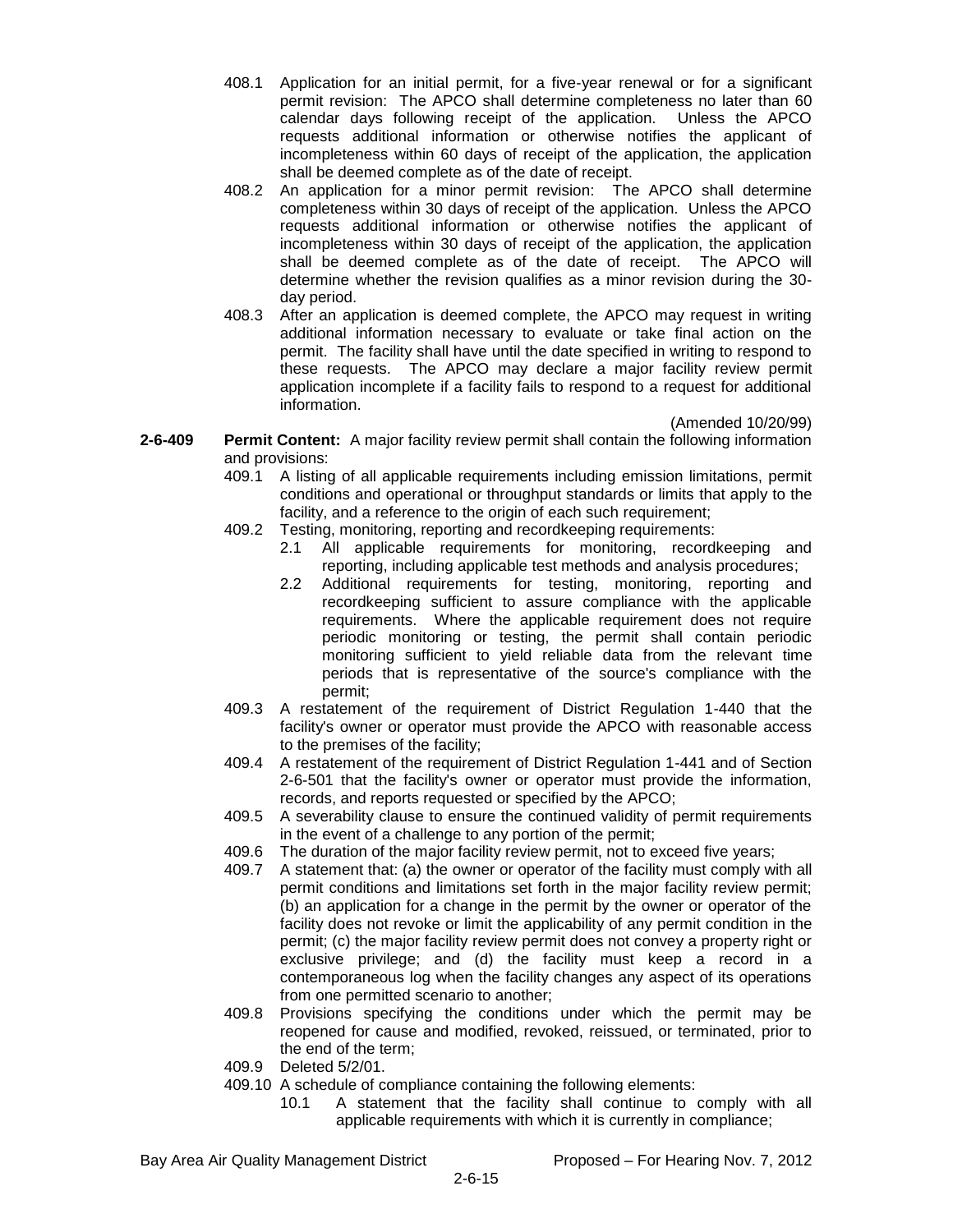- 408.1 Application for an initial permit, for a five-year renewal or for a significant permit revision: The APCO shall determine completeness no later than 60 calendar days following receipt of the application. Unless the APCO requests additional information or otherwise notifies the applicant of incompleteness within 60 days of receipt of the application, the application shall be deemed complete as of the date of receipt.
- 408.2 An application for a minor permit revision: The APCO shall determine completeness within 30 days of receipt of the application. Unless the APCO requests additional information or otherwise notifies the applicant of incompleteness within 30 days of receipt of the application, the application shall be deemed complete as of the date of receipt. The APCO will determine whether the revision qualifies as a minor revision during the 30 day period.
- 408.3 After an application is deemed complete, the APCO may request in writing additional information necessary to evaluate or take final action on the permit. The facility shall have until the date specified in writing to respond to these requests. The APCO may declare a major facility review permit application incomplete if a facility fails to respond to a request for additional information.

(Amended 10/20/99)

- **2-6-409 Permit Content:** A major facility review permit shall contain the following information and provisions:
	- 409.1 A listing of all applicable requirements including emission limitations, permit conditions and operational or throughput standards or limits that apply to the facility, and a reference to the origin of each such requirement;
	- 409.2 Testing, monitoring, reporting and recordkeeping requirements:
		- 2.1 All applicable requirements for monitoring, recordkeeping and reporting, including applicable test methods and analysis procedures;
		- 2.2 Additional requirements for testing, monitoring, reporting and recordkeeping sufficient to assure compliance with the applicable requirements. Where the applicable requirement does not require periodic monitoring or testing, the permit shall contain periodic monitoring sufficient to yield reliable data from the relevant time periods that is representative of the source's compliance with the permit;
	- 409.3 A restatement of the requirement of District Regulation 1-440 that the facility's owner or operator must provide the APCO with reasonable access to the premises of the facility;
	- 409.4 A restatement of the requirement of District Regulation 1-441 and of Section 2-6-501 that the facility's owner or operator must provide the information, records, and reports requested or specified by the APCO;
	- 409.5 A severability clause to ensure the continued validity of permit requirements in the event of a challenge to any portion of the permit;
	- 409.6 The duration of the major facility review permit, not to exceed five years;
	- 409.7 A statement that: (a) the owner or operator of the facility must comply with all permit conditions and limitations set forth in the major facility review permit; (b) an application for a change in the permit by the owner or operator of the facility does not revoke or limit the applicability of any permit condition in the permit; (c) the major facility review permit does not convey a property right or exclusive privilege; and (d) the facility must keep a record in a contemporaneous log when the facility changes any aspect of its operations from one permitted scenario to another;
	- 409.8 Provisions specifying the conditions under which the permit may be reopened for cause and modified, revoked, reissued, or terminated, prior to the end of the term;
	- 409.9 Deleted 5/2/01.
	- 409.10 A schedule of compliance containing the following elements:
		- 10.1 A statement that the facility shall continue to comply with all applicable requirements with which it is currently in compliance;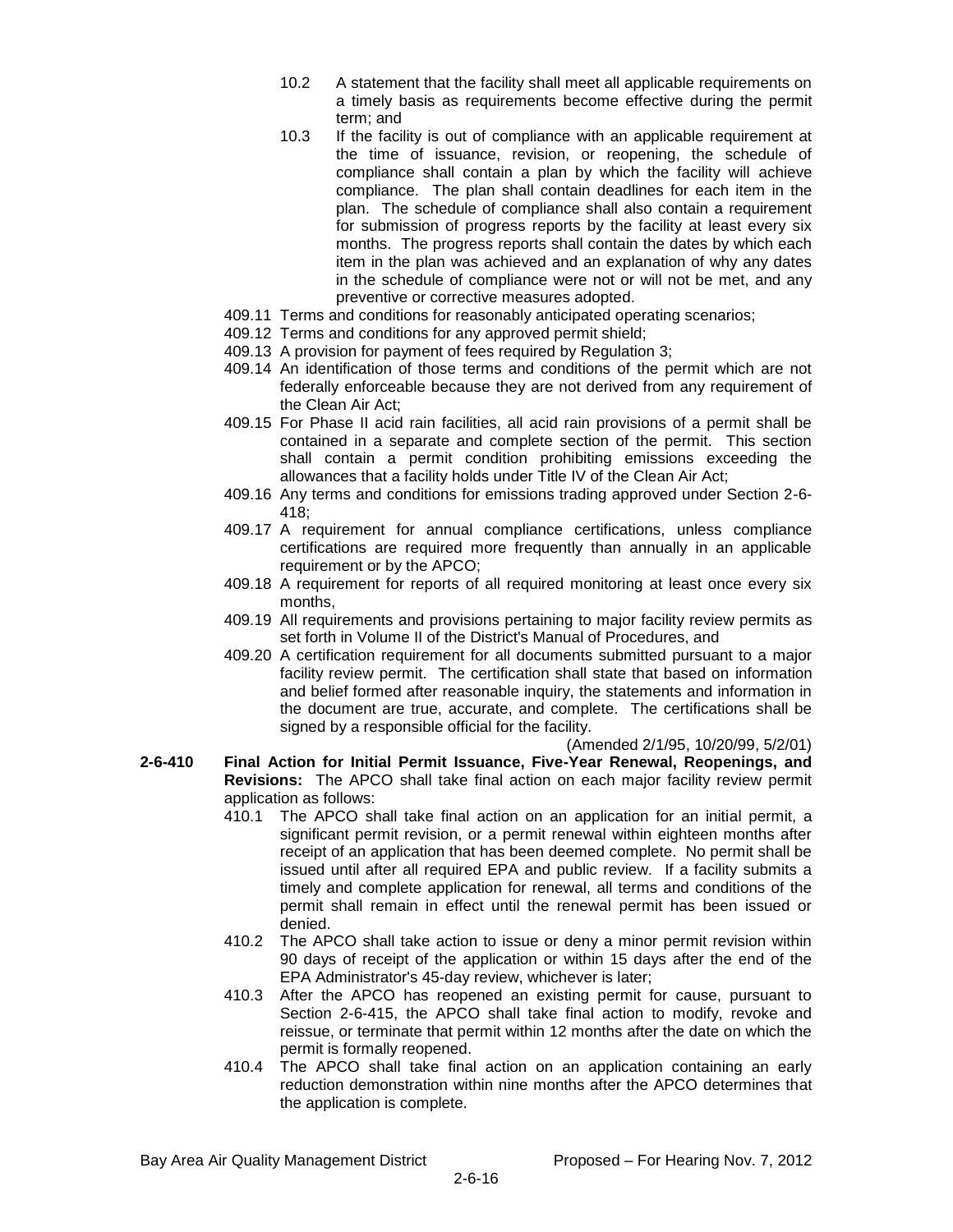- 10.2 A statement that the facility shall meet all applicable requirements on a timely basis as requirements become effective during the permit term; and
- 10.3 If the facility is out of compliance with an applicable requirement at the time of issuance, revision, or reopening, the schedule of compliance shall contain a plan by which the facility will achieve compliance. The plan shall contain deadlines for each item in the plan. The schedule of compliance shall also contain a requirement for submission of progress reports by the facility at least every six months. The progress reports shall contain the dates by which each item in the plan was achieved and an explanation of why any dates in the schedule of compliance were not or will not be met, and any preventive or corrective measures adopted.
- 409.11 Terms and conditions for reasonably anticipated operating scenarios;
- 409.12 Terms and conditions for any approved permit shield;
- 409.13 A provision for payment of fees required by Regulation 3;
- 409.14 An identification of those terms and conditions of the permit which are not federally enforceable because they are not derived from any requirement of the Clean Air Act;
- 409.15 For Phase II acid rain facilities, all acid rain provisions of a permit shall be contained in a separate and complete section of the permit. This section shall contain a permit condition prohibiting emissions exceeding the allowances that a facility holds under Title IV of the Clean Air Act;
- 409.16 Any terms and conditions for emissions trading approved under Section 2-6- 418;
- 409.17 A requirement for annual compliance certifications, unless compliance certifications are required more frequently than annually in an applicable requirement or by the APCO;
- 409.18 A requirement for reports of all required monitoring at least once every six months,
- 409.19 All requirements and provisions pertaining to major facility review permits as set forth in Volume II of the District's Manual of Procedures, and
- 409.20 A certification requirement for all documents submitted pursuant to a major facility review permit. The certification shall state that based on information and belief formed after reasonable inquiry, the statements and information in the document are true, accurate, and complete. The certifications shall be signed by a responsible official for the facility.

#### (Amended 2/1/95, 10/20/99, 5/2/01)

- **2-6-410 Final Action for Initial Permit Issuance, Five-Year Renewal, Reopenings, and Revisions:** The APCO shall take final action on each major facility review permit application as follows:
	- 410.1 The APCO shall take final action on an application for an initial permit, a significant permit revision, or a permit renewal within eighteen months after receipt of an application that has been deemed complete. No permit shall be issued until after all required EPA and public review. If a facility submits a timely and complete application for renewal, all terms and conditions of the permit shall remain in effect until the renewal permit has been issued or denied.
	- 410.2 The APCO shall take action to issue or deny a minor permit revision within 90 days of receipt of the application or within 15 days after the end of the EPA Administrator's 45-day review, whichever is later;
	- 410.3 After the APCO has reopened an existing permit for cause, pursuant to Section 2-6-415, the APCO shall take final action to modify, revoke and reissue, or terminate that permit within 12 months after the date on which the permit is formally reopened.
	- 410.4 The APCO shall take final action on an application containing an early reduction demonstration within nine months after the APCO determines that the application is complete.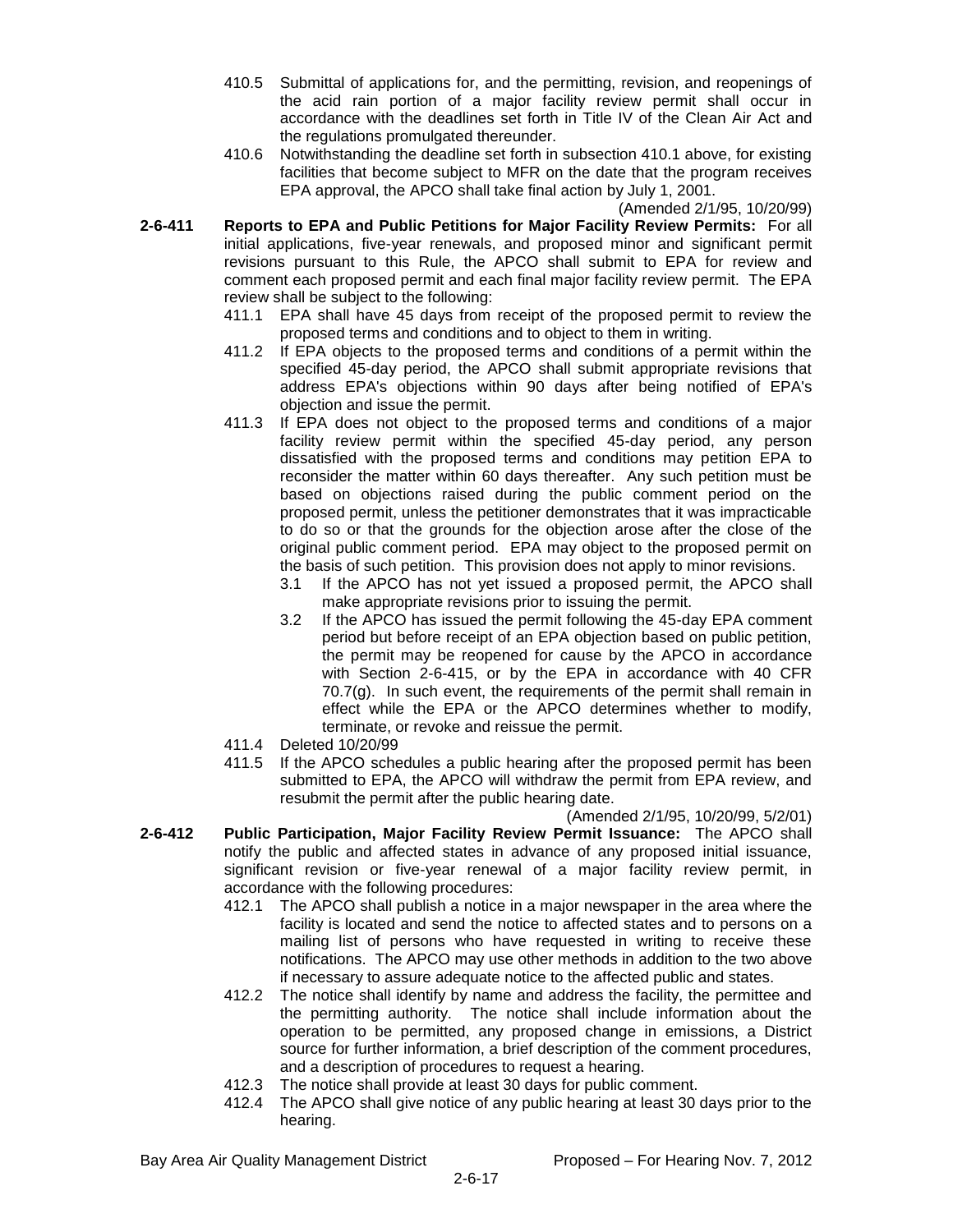- 410.5 Submittal of applications for, and the permitting, revision, and reopenings of the acid rain portion of a major facility review permit shall occur in accordance with the deadlines set forth in Title IV of the Clean Air Act and the regulations promulgated thereunder.
- 410.6 Notwithstanding the deadline set forth in subsection 410.1 above, for existing facilities that become subject to MFR on the date that the program receives EPA approval, the APCO shall take final action by July 1, 2001.

(Amended 2/1/95, 10/20/99)

- **2-6-411 Reports to EPA and Public Petitions for Major Facility Review Permits:** For all initial applications, five-year renewals, and proposed minor and significant permit revisions pursuant to this Rule, the APCO shall submit to EPA for review and comment each proposed permit and each final major facility review permit. The EPA review shall be subject to the following:
	- 411.1 EPA shall have 45 days from receipt of the proposed permit to review the proposed terms and conditions and to object to them in writing.
	- 411.2 If EPA objects to the proposed terms and conditions of a permit within the specified 45-day period, the APCO shall submit appropriate revisions that address EPA's objections within 90 days after being notified of EPA's objection and issue the permit.
	- 411.3 If EPA does not object to the proposed terms and conditions of a major facility review permit within the specified 45-day period, any person dissatisfied with the proposed terms and conditions may petition EPA to reconsider the matter within 60 days thereafter. Any such petition must be based on objections raised during the public comment period on the proposed permit, unless the petitioner demonstrates that it was impracticable to do so or that the grounds for the objection arose after the close of the original public comment period. EPA may object to the proposed permit on the basis of such petition. This provision does not apply to minor revisions.
		- 3.1 If the APCO has not yet issued a proposed permit, the APCO shall make appropriate revisions prior to issuing the permit.
		- 3.2 If the APCO has issued the permit following the 45-day EPA comment period but before receipt of an EPA objection based on public petition, the permit may be reopened for cause by the APCO in accordance with Section 2-6-415, or by the EPA in accordance with 40 CFR  $70.7(q)$ . In such event, the requirements of the permit shall remain in effect while the EPA or the APCO determines whether to modify, terminate, or revoke and reissue the permit.
	- 411.4 Deleted 10/20/99
	- 411.5 If the APCO schedules a public hearing after the proposed permit has been submitted to EPA, the APCO will withdraw the permit from EPA review, and resubmit the permit after the public hearing date.

(Amended 2/1/95, 10/20/99, 5/2/01)

- **2-6-412 Public Participation, Major Facility Review Permit Issuance:** The APCO shall notify the public and affected states in advance of any proposed initial issuance, significant revision or five-year renewal of a major facility review permit, in accordance with the following procedures:
	- 412.1 The APCO shall publish a notice in a major newspaper in the area where the facility is located and send the notice to affected states and to persons on a mailing list of persons who have requested in writing to receive these notifications. The APCO may use other methods in addition to the two above if necessary to assure adequate notice to the affected public and states.
	- 412.2 The notice shall identify by name and address the facility, the permittee and the permitting authority. The notice shall include information about the operation to be permitted, any proposed change in emissions, a District source for further information, a brief description of the comment procedures, and a description of procedures to request a hearing.
	- 412.3 The notice shall provide at least 30 days for public comment.
	- 412.4 The APCO shall give notice of any public hearing at least 30 days prior to the hearing.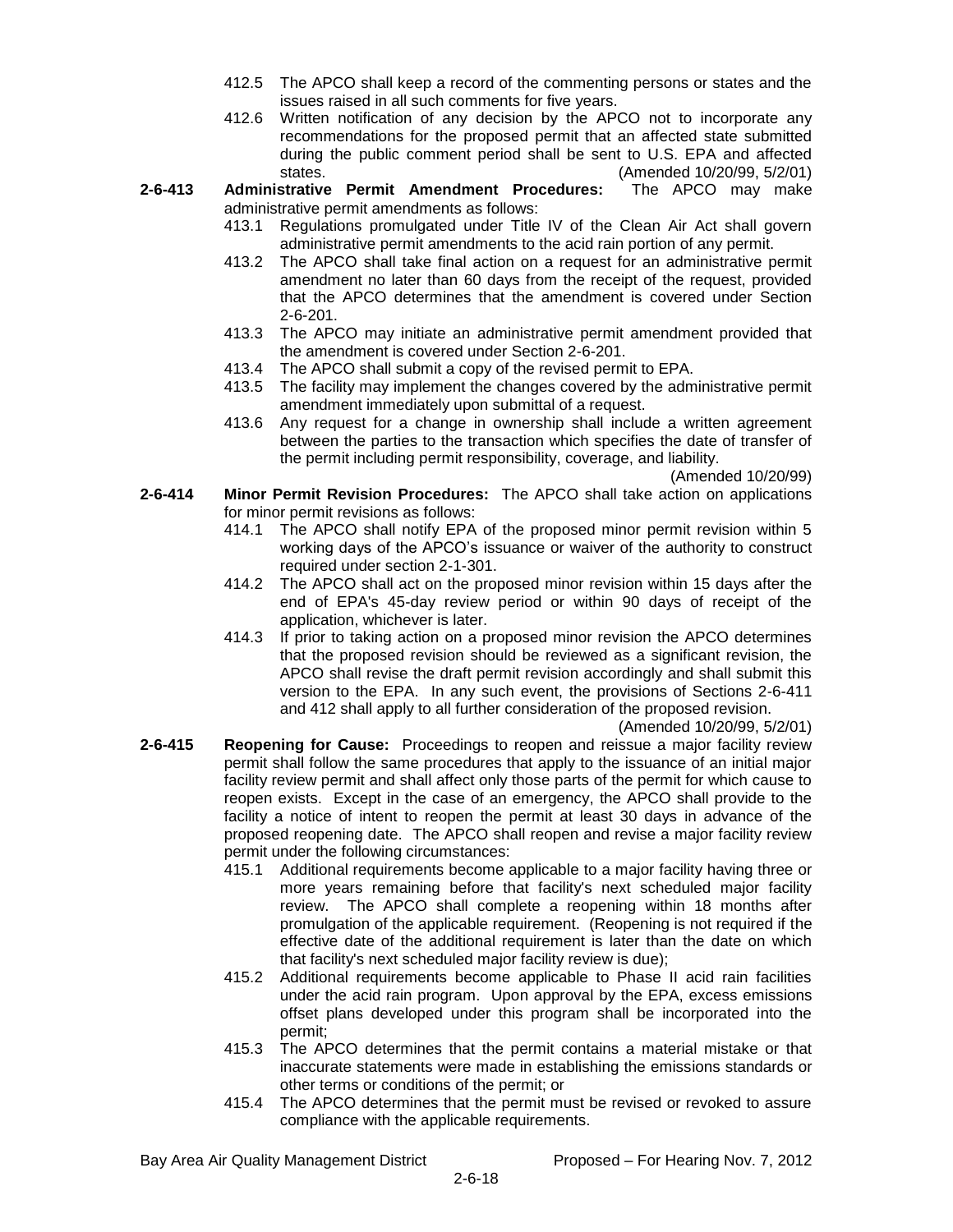- 412.5 The APCO shall keep a record of the commenting persons or states and the issues raised in all such comments for five years.
- 412.6 Written notification of any decision by the APCO not to incorporate any recommendations for the proposed permit that an affected state submitted during the public comment period shall be sent to U.S. EPA and affected states. (Amended 10/20/99, 5/2/01)
- **2-6-413 Administrative Permit Amendment Procedures:** The APCO may make administrative permit amendments as follows:
	- 413.1 Regulations promulgated under Title IV of the Clean Air Act shall govern administrative permit amendments to the acid rain portion of any permit.
	- 413.2 The APCO shall take final action on a request for an administrative permit amendment no later than 60 days from the receipt of the request, provided that the APCO determines that the amendment is covered under Section 2-6-201.
	- 413.3 The APCO may initiate an administrative permit amendment provided that the amendment is covered under Section 2-6-201.
	- 413.4 The APCO shall submit a copy of the revised permit to EPA.
	- 413.5 The facility may implement the changes covered by the administrative permit amendment immediately upon submittal of a request.
	- 413.6 Any request for a change in ownership shall include a written agreement between the parties to the transaction which specifies the date of transfer of the permit including permit responsibility, coverage, and liability.

(Amended 10/20/99)

- **2-6-414 Minor Permit Revision Procedures:** The APCO shall take action on applications for minor permit revisions as follows:
	- 414.1 The APCO shall notify EPA of the proposed minor permit revision within 5 working days of the APCO's issuance or waiver of the authority to construct required under section 2-1-301.
	- 414.2 The APCO shall act on the proposed minor revision within 15 days after the end of EPA's 45-day review period or within 90 days of receipt of the application, whichever is later.
	- 414.3 If prior to taking action on a proposed minor revision the APCO determines that the proposed revision should be reviewed as a significant revision, the APCO shall revise the draft permit revision accordingly and shall submit this version to the EPA. In any such event, the provisions of Sections 2-6-411 and 412 shall apply to all further consideration of the proposed revision.

(Amended 10/20/99, 5/2/01)

- **2-6-415 Reopening for Cause:** Proceedings to reopen and reissue a major facility review permit shall follow the same procedures that apply to the issuance of an initial major facility review permit and shall affect only those parts of the permit for which cause to reopen exists. Except in the case of an emergency, the APCO shall provide to the facility a notice of intent to reopen the permit at least 30 days in advance of the proposed reopening date. The APCO shall reopen and revise a major facility review permit under the following circumstances:
	- 415.1 Additional requirements become applicable to a major facility having three or more years remaining before that facility's next scheduled major facility review. The APCO shall complete a reopening within 18 months after promulgation of the applicable requirement. (Reopening is not required if the effective date of the additional requirement is later than the date on which that facility's next scheduled major facility review is due);
	- 415.2 Additional requirements become applicable to Phase II acid rain facilities under the acid rain program. Upon approval by the EPA, excess emissions offset plans developed under this program shall be incorporated into the permit;
	- 415.3 The APCO determines that the permit contains a material mistake or that inaccurate statements were made in establishing the emissions standards or other terms or conditions of the permit; or
	- 415.4 The APCO determines that the permit must be revised or revoked to assure compliance with the applicable requirements.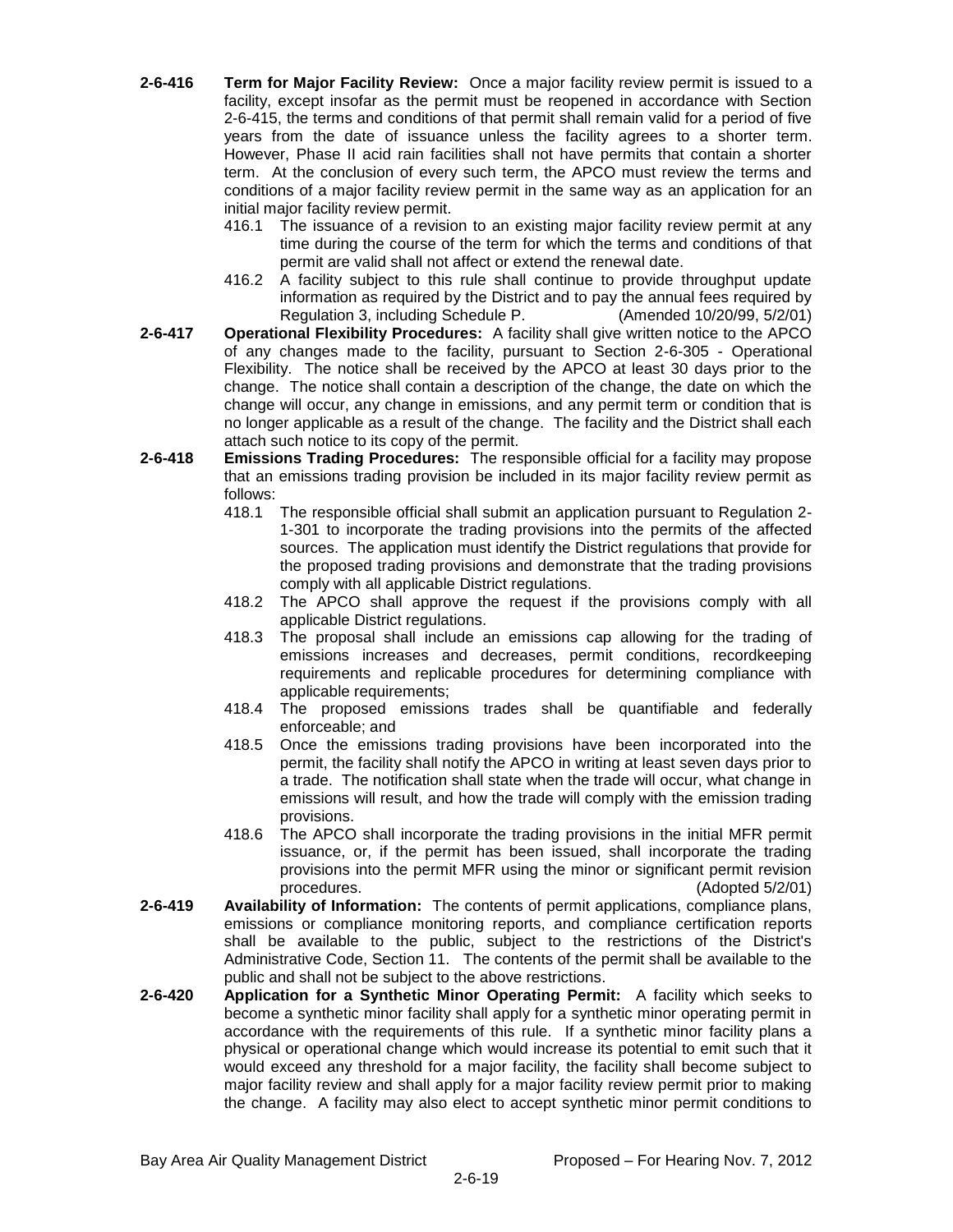- **2-6-416 Term for Major Facility Review:** Once a major facility review permit is issued to a facility, except insofar as the permit must be reopened in accordance with Section 2-6-415, the terms and conditions of that permit shall remain valid for a period of five years from the date of issuance unless the facility agrees to a shorter term. However, Phase II acid rain facilities shall not have permits that contain a shorter term. At the conclusion of every such term, the APCO must review the terms and conditions of a major facility review permit in the same way as an application for an initial major facility review permit.
	- 416.1 The issuance of a revision to an existing major facility review permit at any time during the course of the term for which the terms and conditions of that permit are valid shall not affect or extend the renewal date.
	- 416.2 A facility subject to this rule shall continue to provide throughput update information as required by the District and to pay the annual fees required by Regulation 3, including Schedule P. (Amended 10/20/99, 5/2/01)
- **2-6-417 Operational Flexibility Procedures:** A facility shall give written notice to the APCO of any changes made to the facility, pursuant to Section 2-6-305 - Operational Flexibility. The notice shall be received by the APCO at least 30 days prior to the change. The notice shall contain a description of the change, the date on which the change will occur, any change in emissions, and any permit term or condition that is no longer applicable as a result of the change. The facility and the District shall each attach such notice to its copy of the permit.
- **2-6-418 Emissions Trading Procedures:** The responsible official for a facility may propose that an emissions trading provision be included in its major facility review permit as follows:
	- 418.1 The responsible official shall submit an application pursuant to Regulation 2- 1-301 to incorporate the trading provisions into the permits of the affected sources. The application must identify the District regulations that provide for the proposed trading provisions and demonstrate that the trading provisions comply with all applicable District regulations.
	- 418.2 The APCO shall approve the request if the provisions comply with all applicable District regulations.
	- 418.3 The proposal shall include an emissions cap allowing for the trading of emissions increases and decreases, permit conditions, recordkeeping requirements and replicable procedures for determining compliance with applicable requirements;
	- 418.4 The proposed emissions trades shall be quantifiable and federally enforceable; and
	- 418.5 Once the emissions trading provisions have been incorporated into the permit, the facility shall notify the APCO in writing at least seven days prior to a trade. The notification shall state when the trade will occur, what change in emissions will result, and how the trade will comply with the emission trading provisions.
	- 418.6 The APCO shall incorporate the trading provisions in the initial MFR permit issuance, or, if the permit has been issued, shall incorporate the trading provisions into the permit MFR using the minor or significant permit revision procedures. (Adopted 5/2/01)
- **2-6-419 Availability of Information:** The contents of permit applications, compliance plans, emissions or compliance monitoring reports, and compliance certification reports shall be available to the public, subject to the restrictions of the District's Administrative Code, Section 11. The contents of the permit shall be available to the public and shall not be subject to the above restrictions.
- **2-6-420 Application for a Synthetic Minor Operating Permit:** A facility which seeks to become a synthetic minor facility shall apply for a synthetic minor operating permit in accordance with the requirements of this rule. If a synthetic minor facility plans a physical or operational change which would increase its potential to emit such that it would exceed any threshold for a major facility, the facility shall become subject to major facility review and shall apply for a major facility review permit prior to making the change. A facility may also elect to accept synthetic minor permit conditions to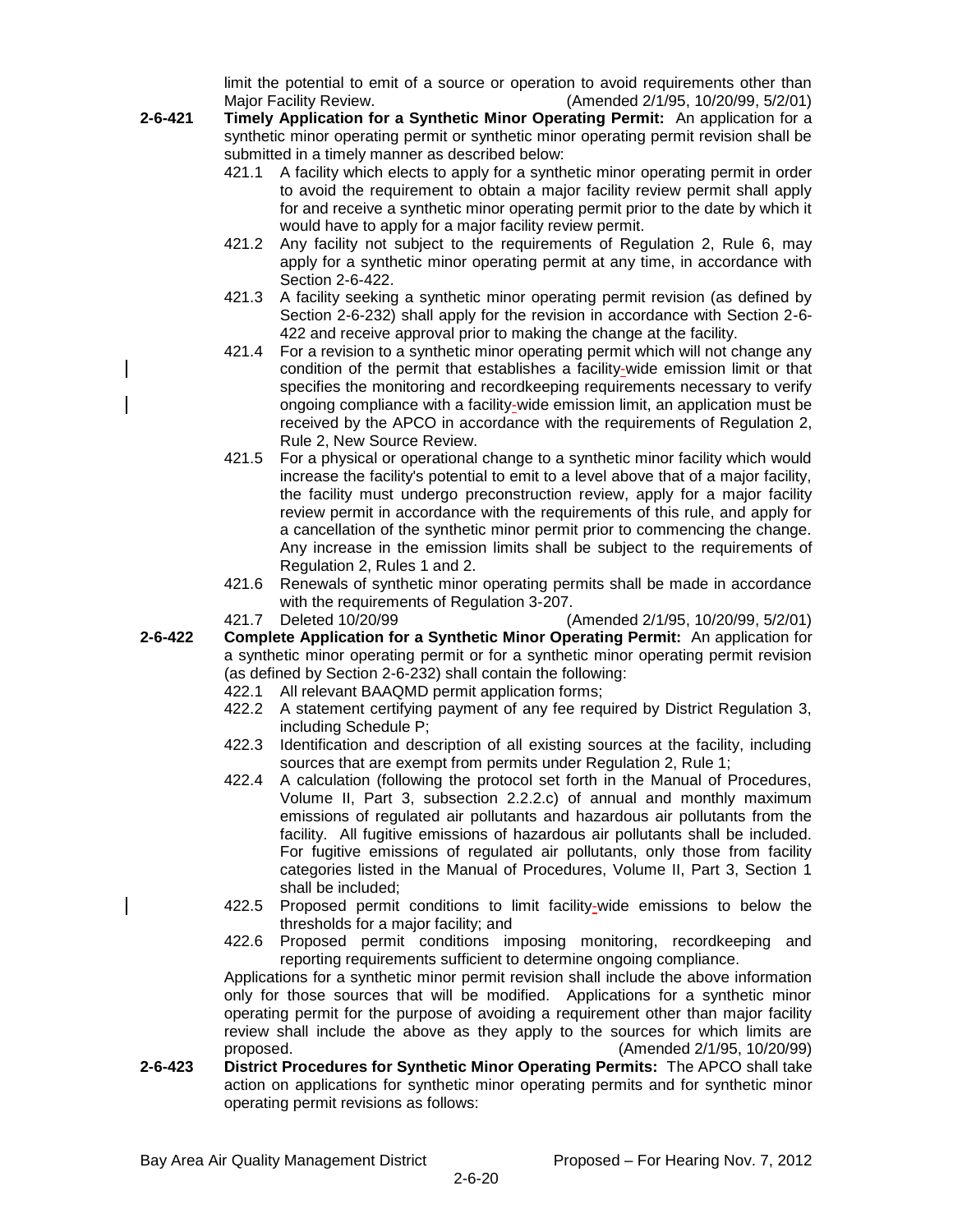limit the potential to emit of a source or operation to avoid requirements other than Major Facility Review. (Amended 2/1/95, 10/20/99, 5/2/01)

- **2-6-421 Timely Application for a Synthetic Minor Operating Permit:** An application for a synthetic minor operating permit or synthetic minor operating permit revision shall be submitted in a timely manner as described below:
	- 421.1 A facility which elects to apply for a synthetic minor operating permit in order to avoid the requirement to obtain a major facility review permit shall apply for and receive a synthetic minor operating permit prior to the date by which it would have to apply for a major facility review permit.
	- 421.2 Any facility not subject to the requirements of Regulation 2, Rule 6, may apply for a synthetic minor operating permit at any time, in accordance with Section 2-6-422.
	- 421.3 A facility seeking a synthetic minor operating permit revision (as defined by Section 2-6-232) shall apply for the revision in accordance with Section 2-6- 422 and receive approval prior to making the change at the facility.
	- 421.4 For a revision to a synthetic minor operating permit which will not change any condition of the permit that establishes a facility-wide emission limit or that specifies the monitoring and recordkeeping requirements necessary to verify ongoing compliance with a facility-wide emission limit, an application must be received by the APCO in accordance with the requirements of Regulation 2, Rule 2, New Source Review.
	- 421.5 For a physical or operational change to a synthetic minor facility which would increase the facility's potential to emit to a level above that of a major facility, the facility must undergo preconstruction review, apply for a major facility review permit in accordance with the requirements of this rule, and apply for a cancellation of the synthetic minor permit prior to commencing the change. Any increase in the emission limits shall be subject to the requirements of Regulation 2, Rules 1 and 2.
	- 421.6 Renewals of synthetic minor operating permits shall be made in accordance with the requirements of Regulation 3-207.

421.7 Deleted 10/20/99 (Amended 2/1/95, 10/20/99, 5/2/01)

- **2-6-422 Complete Application for a Synthetic Minor Operating Permit:** An application for a synthetic minor operating permit or for a synthetic minor operating permit revision (as defined by Section 2-6-232) shall contain the following:
	- 422.1 All relevant BAAQMD permit application forms;
	- 422.2 A statement certifying payment of any fee required by District Regulation 3, including Schedule P;
	- 422.3 Identification and description of all existing sources at the facility, including sources that are exempt from permits under Regulation 2, Rule 1;
	- 422.4 A calculation (following the protocol set forth in the Manual of Procedures, Volume II, Part 3, subsection 2.2.2.c) of annual and monthly maximum emissions of regulated air pollutants and hazardous air pollutants from the facility. All fugitive emissions of hazardous air pollutants shall be included. For fugitive emissions of regulated air pollutants, only those from facility categories listed in the Manual of Procedures, Volume II, Part 3, Section 1 shall be included;
	- 422.5 Proposed permit conditions to limit facility-wide emissions to below the thresholds for a major facility; and
	- 422.6 Proposed permit conditions imposing monitoring, recordkeeping and reporting requirements sufficient to determine ongoing compliance.

Applications for a synthetic minor permit revision shall include the above information only for those sources that will be modified. Applications for a synthetic minor operating permit for the purpose of avoiding a requirement other than major facility review shall include the above as they apply to the sources for which limits are proposed. (Amended 2/1/95, 10/20/99)

**2-6-423 District Procedures for Synthetic Minor Operating Permits:** The APCO shall take action on applications for synthetic minor operating permits and for synthetic minor operating permit revisions as follows: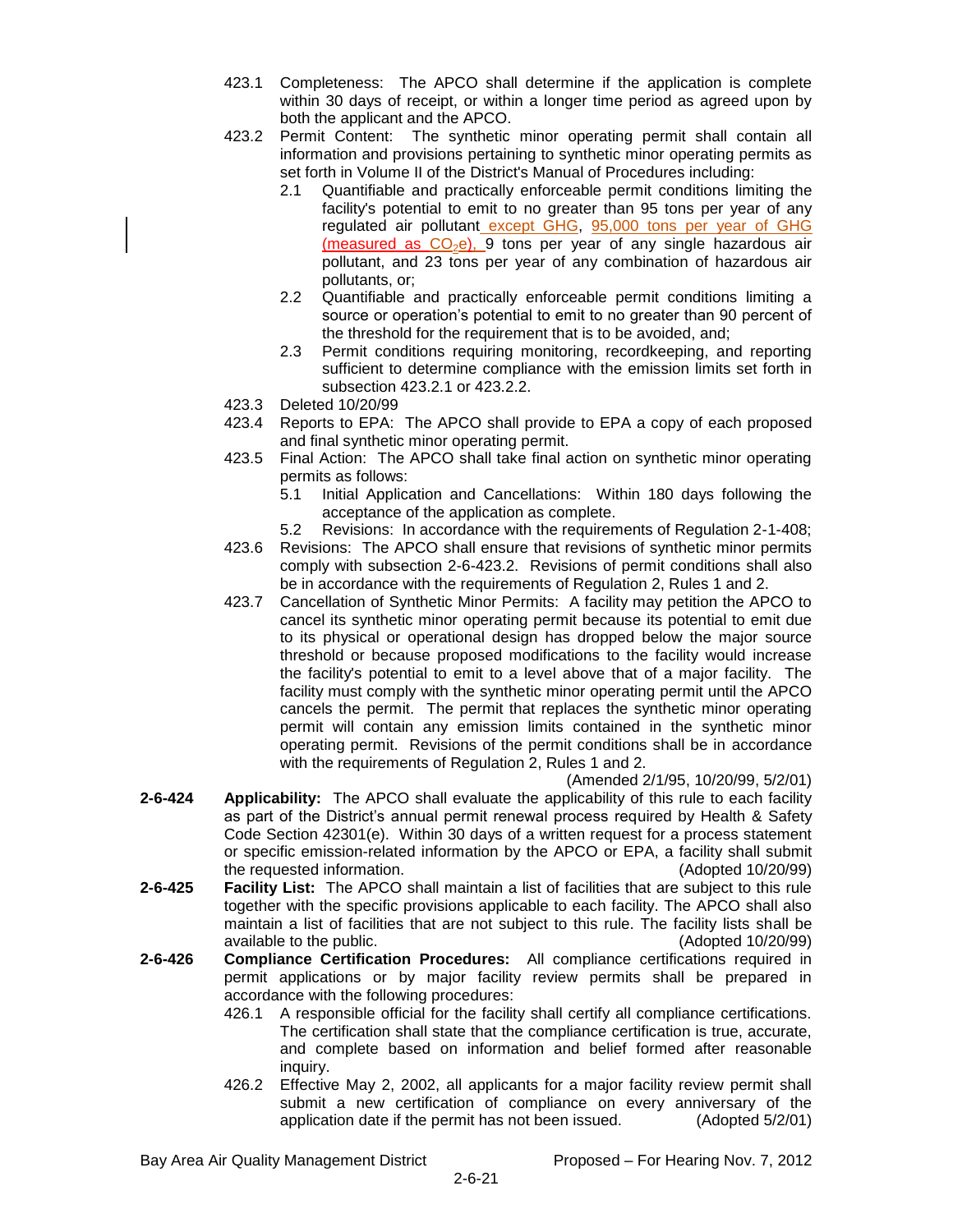- 423.1 Completeness: The APCO shall determine if the application is complete within 30 days of receipt, or within a longer time period as agreed upon by both the applicant and the APCO.
- 423.2 Permit Content: The synthetic minor operating permit shall contain all information and provisions pertaining to synthetic minor operating permits as set forth in Volume II of the District's Manual of Procedures including:
	- 2.1 Quantifiable and practically enforceable permit conditions limiting the facility's potential to emit to no greater than 95 tons per year of any regulated air pollutant except GHG, 95,000 tons per year of GHG (measured as  $CO<sub>2</sub>e$ ), 9 tons per year of any single hazardous air pollutant, and 23 tons per year of any combination of hazardous air pollutants, or;
	- 2.2 Quantifiable and practically enforceable permit conditions limiting a source or operation's potential to emit to no greater than 90 percent of the threshold for the requirement that is to be avoided, and;
	- 2.3 Permit conditions requiring monitoring, recordkeeping, and reporting sufficient to determine compliance with the emission limits set forth in subsection 423.2.1 or 423.2.2.
- 423.3 Deleted 10/20/99
- 423.4 Reports to EPA: The APCO shall provide to EPA a copy of each proposed and final synthetic minor operating permit.
- 423.5 Final Action: The APCO shall take final action on synthetic minor operating permits as follows:
	- 5.1 Initial Application and Cancellations: Within 180 days following the acceptance of the application as complete.
	- 5.2 Revisions: In accordance with the requirements of Regulation 2-1-408;
- 423.6 Revisions: The APCO shall ensure that revisions of synthetic minor permits comply with subsection 2-6-423.2. Revisions of permit conditions shall also be in accordance with the requirements of Regulation 2, Rules 1 and 2.
- 423.7 Cancellation of Synthetic Minor Permits: A facility may petition the APCO to cancel its synthetic minor operating permit because its potential to emit due to its physical or operational design has dropped below the major source threshold or because proposed modifications to the facility would increase the facility's potential to emit to a level above that of a major facility. The facility must comply with the synthetic minor operating permit until the APCO cancels the permit. The permit that replaces the synthetic minor operating permit will contain any emission limits contained in the synthetic minor operating permit. Revisions of the permit conditions shall be in accordance with the requirements of Regulation 2, Rules 1 and 2.

(Amended 2/1/95, 10/20/99, 5/2/01)

- **2-6-424 Applicability:** The APCO shall evaluate the applicability of this rule to each facility as part of the District's annual permit renewal process required by Health & Safety Code Section 42301(e). Within 30 days of a written request for a process statement or specific emission-related information by the APCO or EPA, a facility shall submit the requested information. (Adopted 10/20/99)
- **2-6-425 Facility List:** The APCO shall maintain a list of facilities that are subject to this rule together with the specific provisions applicable to each facility. The APCO shall also maintain a list of facilities that are not subject to this rule. The facility lists shall be available to the public. (Adopted 10/20/99)
- **2-6-426 Compliance Certification Procedures:** All compliance certifications required in permit applications or by major facility review permits shall be prepared in accordance with the following procedures:
	- 426.1 A responsible official for the facility shall certify all compliance certifications. The certification shall state that the compliance certification is true, accurate, and complete based on information and belief formed after reasonable inquiry.
	- 426.2 Effective May 2, 2002, all applicants for a major facility review permit shall submit a new certification of compliance on every anniversary of the application date if the permit has not been issued. (Adopted 5/2/01)